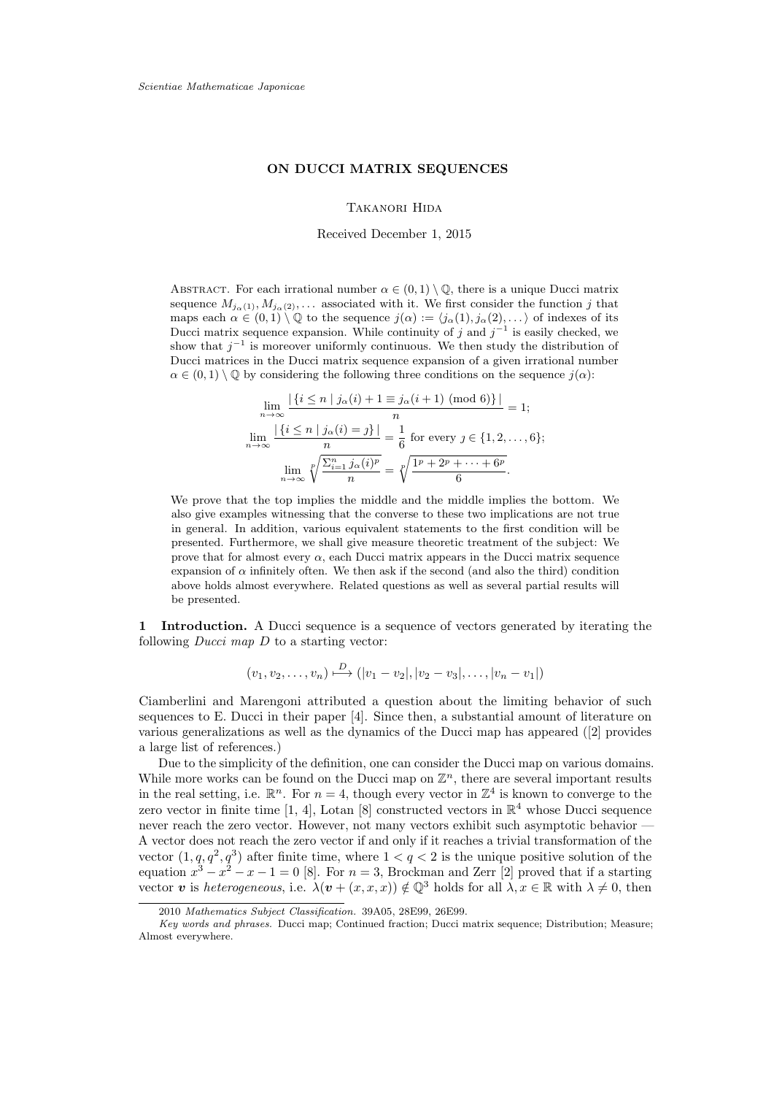## **ON DUCCI MATRIX SEQUENCES**

Takanori Hida

Received December 1, 2015

ABSTRACT. For each irrational number  $\alpha \in (0,1) \setminus \mathbb{Q}$ , there is a unique Ducci matrix sequence  $M_{j_\alpha(1)}, M_{j_\alpha(2)}, \ldots$  associated with it. We first consider the function j that maps each  $\alpha \in (0,1) \setminus \mathbb{Q}$  to the sequence  $j(\alpha) := \langle j_{\alpha}(1), j_{\alpha}(2), \ldots \rangle$  of indexes of its Ducci matrix sequence expansion. While continuity of j and  $j^{-1}$  is easily checked, we show that  $j^{-1}$  is moreover uniformly continuous. We then study the distribution of Ducci matrices in the Ducci matrix sequence expansion of a given irrational number  $\alpha \in (0,1) \setminus \mathbb{Q}$  by considering the following three conditions on the sequence  $j(\alpha)$ :

$$
\lim_{n \to \infty} \frac{|\{i \le n \mid j_{\alpha}(i) + 1 \equiv j_{\alpha}(i+1) \pmod{6}\}|}{n} = 1;
$$
\n
$$
\lim_{n \to \infty} \frac{|\{i \le n \mid j_{\alpha}(i) = j\}|}{n} = \frac{1}{6} \text{ for every } j \in \{1, 2, \dots, 6\};
$$
\n
$$
\lim_{n \to \infty} \sqrt[p]{\frac{\sum_{i=1}^{n} j_{\alpha}(i)^{p}}{n}} = \sqrt[p]{\frac{1^{p} + 2^{p} + \dots + 6^{p}}{6}}.
$$

We prove that the top implies the middle and the middle implies the bottom. We also give examples witnessing that the converse to these two implications are not true in general. In addition, various equivalent statements to the first condition will be presented. Furthermore, we shall give measure theoretic treatment of the subject: We prove that for almost every  $\alpha$ , each Ducci matrix appears in the Ducci matrix sequence expansion of  $\alpha$  infinitely often. We then ask if the second (and also the third) condition above holds almost everywhere. Related questions as well as several partial results will be presented.

1 Introduction. A Ducci sequence is a sequence of vectors generated by iterating the following  $Ducci$  map  $D$  to a starting vector:

$$
(v_1, v_2, \ldots, v_n) \stackrel{D}{\longmapsto} (|v_1 - v_2|, |v_2 - v_3|, \ldots, |v_n - v_1|)
$$

Ciamberlini and Marengoni attributed a question about the limiting behavior of such sequences to E. Ducci in their paper [4]. Since then, a substantial amount of literature on various generalizations as well as the dynamics of the Ducci map has appeared ([2] provides a large list of references.)

Due to the simplicity of the definition, one can consider the Ducci map on various domains. While more works can be found on the Ducci map on  $\mathbb{Z}^n$ , there are several important results in the real setting, i.e.  $\mathbb{R}^n$ . For  $n = 4$ , though every vector in  $\mathbb{Z}^4$  is known to converge to the zero vector in finite time [1, 4], Lotan [8] constructed vectors in  $\mathbb{R}^4$  whose Ducci sequence never reach the zero vector. However, not many vectors exhibit such asymptotic behavior — A vector does not reach the zero vector if and only if it reaches a trivial transformation of the vector  $(1, q, q^2, q^3)$  after finite time, where  $1 < q < 2$  is the unique positive solution of the equation  $x^3 - x^2 - x - 1 = 0$  [8]. For  $n = 3$ , Brockman and Zerr [2] proved that if a starting vector v is heterogeneous, i.e.  $\lambda(\mathbf{v} + (x, x, x)) \notin \mathbb{Q}^3$  holds for all  $\lambda, x \in \mathbb{R}$  with  $\lambda \neq 0$ , then

<sup>2010</sup> Mathematics Subject Classification. 39A05, 28E99, 26E99.

Key words and phrases. Ducci map; Continued fraction; Ducci matrix sequence; Distribution; Measure; Almost everywhere.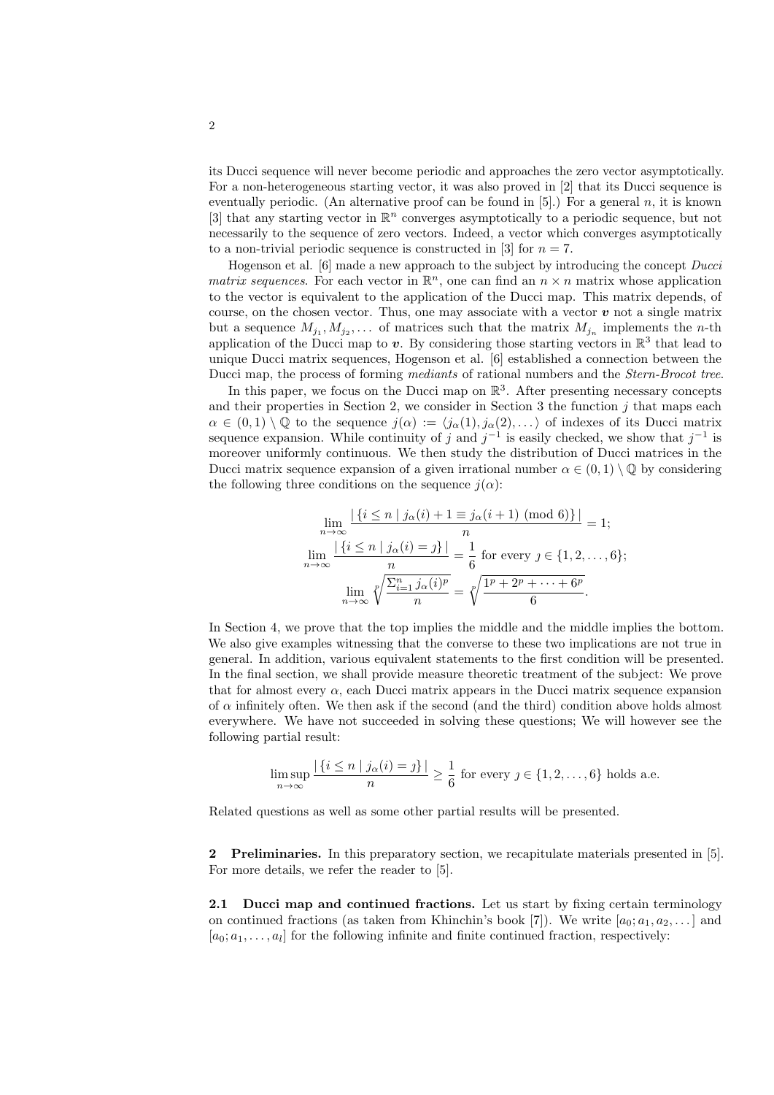its Ducci sequence will never become periodic and approaches the zero vector asymptotically. For a non-heterogeneous starting vector, it was also proved in [2] that its Ducci sequence is eventually periodic. (An alternative proof can be found in  $[5]$ .) For a general n, it is known [3] that any starting vector in  $\mathbb{R}^n$  converges asymptotically to a periodic sequence, but not necessarily to the sequence of zero vectors. Indeed, a vector which converges asymptotically to a non-trivial periodic sequence is constructed in [3] for  $n = 7$ .

Hogenson et al. [6] made a new approach to the subject by introducing the concept Ducci matrix sequences. For each vector in  $\mathbb{R}^n$ , one can find an  $n \times n$  matrix whose application to the vector is equivalent to the application of the Ducci map. This matrix depends, of course, on the chosen vector. Thus, one may associate with a vector  $\boldsymbol{v}$  not a single matrix but a sequence  $M_{j_1}, M_{j_2}, \ldots$  of matrices such that the matrix  $M_{j_n}$  implements the *n*-th application of the Ducci map to v. By considering those starting vectors in  $\mathbb{R}^3$  that lead to unique Ducci matrix sequences, Hogenson et al. [6] established a connection between the Ducci map, the process of forming mediants of rational numbers and the Stern-Brocot tree.

In this paper, we focus on the Ducci map on  $\mathbb{R}^3$ . After presenting necessary concepts and their properties in Section 2, we consider in Section 3 the function  $j$  that maps each  $\alpha \in (0,1) \setminus \mathbb{Q}$  to the sequence  $j(\alpha) := \langle j_{\alpha}(1), j_{\alpha}(2), \ldots \rangle$  of indexes of its Ducci matrix sequence expansion. While continuity of j and  $j^{-1}$  is easily checked, we show that  $j^{-1}$  is moreover uniformly continuous. We then study the distribution of Ducci matrices in the Ducci matrix sequence expansion of a given irrational number  $\alpha \in (0,1) \setminus \mathbb{Q}$  by considering the following three conditions on the sequence  $j(\alpha)$ :

$$
\lim_{n \to \infty} \frac{|\{i \le n \mid j_{\alpha}(i) + 1 \equiv j_{\alpha}(i+1) \pmod{6}\}|}{n} = 1;
$$
\n
$$
\lim_{n \to \infty} \frac{|\{i \le n \mid j_{\alpha}(i) = j\}|}{n} = \frac{1}{6} \text{ for every } j \in \{1, 2, \dots, 6\};
$$
\n
$$
\lim_{n \to \infty} \sqrt[p]{\frac{\sum_{i=1}^{n} j_{\alpha}(i)^{p}}{n}} = \sqrt[p]{\frac{1^{p} + 2^{p} + \dots + 6^{p}}{6}}.
$$

In Section 4, we prove that the top implies the middle and the middle implies the bottom. We also give examples witnessing that the converse to these two implications are not true in general. In addition, various equivalent statements to the first condition will be presented. In the final section, we shall provide measure theoretic treatment of the subject: We prove that for almost every  $\alpha$ , each Ducci matrix appears in the Ducci matrix sequence expansion of  $\alpha$  infinitely often. We then ask if the second (and the third) condition above holds almost everywhere. We have not succeeded in solving these questions; We will however see the following partial result:

$$
\limsup_{n \to \infty} \frac{|\{i \le n \mid j_\alpha(i) = j\}|}{n} \ge \frac{1}{6}
$$
 for every  $j \in \{1, 2, \dots, 6\}$  holds a.e.

Related questions as well as some other partial results will be presented.

2 Preliminaries. In this preparatory section, we recapitulate materials presented in [5]. For more details, we refer the reader to [5].

2.1 Ducci map and continued fractions. Let us start by fixing certain terminology on continued fractions (as taken from Khinchin's book [7]). We write  $[a_0; a_1, a_2, \ldots]$  and  $[a_0; a_1, \ldots, a_l]$  for the following infinite and finite continued fraction, respectively: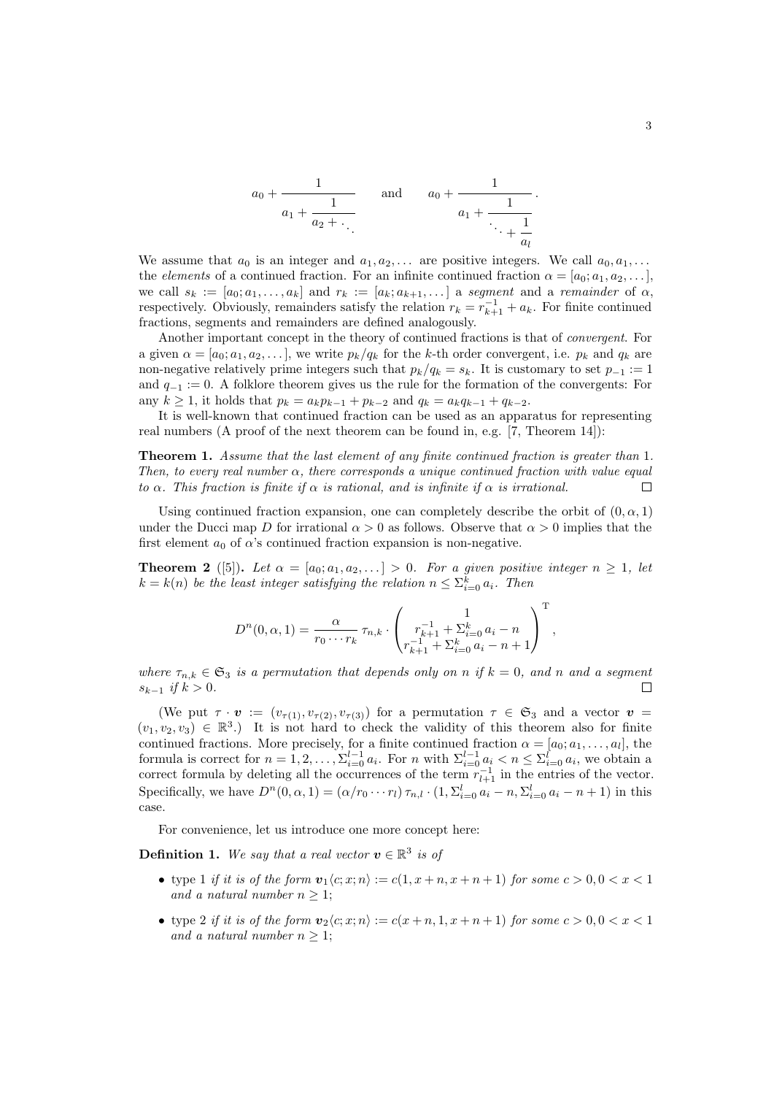$$
a_0 + \cfrac{1}{a_1 + \cfrac{1}{a_2 + \ddots}}
$$
 and  $a_0 + \cfrac{1}{a_1 + \cfrac{1}{\ddots + \cfrac{1}{a_l}}}$ 

We assume that  $a_0$  is an integer and  $a_1, a_2, \ldots$  are positive integers. We call  $a_0, a_1, \ldots$ the elements of a continued fraction. For an infinite continued fraction  $\alpha = [a_0; a_1, a_2, \dots]$ , we call  $s_k := [a_0; a_1, \ldots, a_k]$  and  $r_k := [a_k; a_{k+1}, \ldots]$  a segment and a remainder of  $\alpha$ , respectively. Obviously, remainders satisfy the relation  $r_k = r_{k+1}^{-1} + a_k$ . For finite continued fractions, segments and remainders are defined analogously.

Another important concept in the theory of continued fractions is that of convergent. For a given  $\alpha = [a_0; a_1, a_2, \ldots]$ , we write  $p_k/q_k$  for the k-th order convergent, i.e.  $p_k$  and  $q_k$  are non-negative relatively prime integers such that  $p_k/q_k = s_k$ . It is customary to set  $p_{-1} := 1$ and  $q_{-1} := 0$ . A folklore theorem gives us the rule for the formation of the convergents: For any  $k \ge 1$ , it holds that  $p_k = a_k p_{k-1} + p_{k-2}$  and  $q_k = a_k q_{k-1} + q_{k-2}$ .

It is well-known that continued fraction can be used as an apparatus for representing real numbers (A proof of the next theorem can be found in, e.g. [7, Theorem 14]):

Theorem 1. Assume that the last element of any finite continued fraction is greater than 1. Then, to every real number  $\alpha$ , there corresponds a unique continued fraction with value equal to  $\alpha$ . This fraction is finite if  $\alpha$  is rational, and is infinite if  $\alpha$  is irrational.  $\Box$ 

Using continued fraction expansion, one can completely describe the orbit of  $(0, \alpha, 1)$ under the Ducci map D for irrational  $\alpha > 0$  as follows. Observe that  $\alpha > 0$  implies that the first element  $a_0$  of  $\alpha$ 's continued fraction expansion is non-negative.

**Theorem 2** ([5]). Let  $\alpha = [a_0; a_1, a_2, \ldots] > 0$ . For a given positive integer  $n \geq 1$ , let  $k = k(n)$  be the least integer satisfying the relation  $n \leq \sum_{i=0}^{k} a_i$ . Then

$$
D^{n}(0, \alpha, 1) = \frac{\alpha}{r_0 \cdots r_k} \tau_{n,k} \cdot \begin{pmatrix} 1 \\ r_{k+1}^{-1} + \sum_{i=0}^{k} a_i - n \\ r_{k+1}^{-1} + \sum_{i=0}^{k} a_i - n + 1 \end{pmatrix}^{\mathrm{T}},
$$

where  $\tau_{n,k} \in \mathfrak{S}_3$  is a permutation that depends only on n if  $k = 0$ , and n and a segment  $s_{k-1}$  if  $k > 0$ .  $\Box$ 

(We put  $\tau \cdot \mathbf{v} := (v_{\tau(1)}, v_{\tau(2)}, v_{\tau(3)})$  for a permutation  $\tau \in \mathfrak{S}_3$  and a vector  $\mathbf{v} =$  $(v_1, v_2, v_3) \in \mathbb{R}^3$ .) It is not hard to check the validity of this theorem also for finite continued fractions. More precisely, for a finite continued fraction  $\alpha = [a_0; a_1, \ldots, a_l]$ , the formula is correct for  $n = 1, 2, ..., \sum_{i=0}^{l-1} a_i$ . For n with  $\sum_{i=0}^{l-1} a_i < n \leq \sum_{i=0}^{l} a_i$ , we obtain a correct formula by deleting all the occurrences of the term  $r_{l+1}^{-1}$  in the entries of the vector. Specifically, we have  $D^n(0, \alpha, 1) = (\alpha/r_0 \cdots r_l) \tau_{n,l} \cdot (1, \Sigma_{i=0}^l a_i - n, \Sigma_{i=0}^l a_i - n + 1)$  in this case.

For convenience, let us introduce one more concept here:

**Definition 1.** We say that a real vector  $v \in \mathbb{R}^3$  is of

- type 1 if it is of the form  $v_1\langle c; x; n \rangle := c(1, x + n, x + n + 1)$  for some  $c > 0, 0 < x < 1$ and a natural number  $n \geq 1$ ;
- type 2 if it is of the form  $v_2\langle c; x; n \rangle := c(x+n, 1, x+n+1)$  for some  $c > 0, 0 < x < 1$ and a natural number  $n \geq 1$ ;

.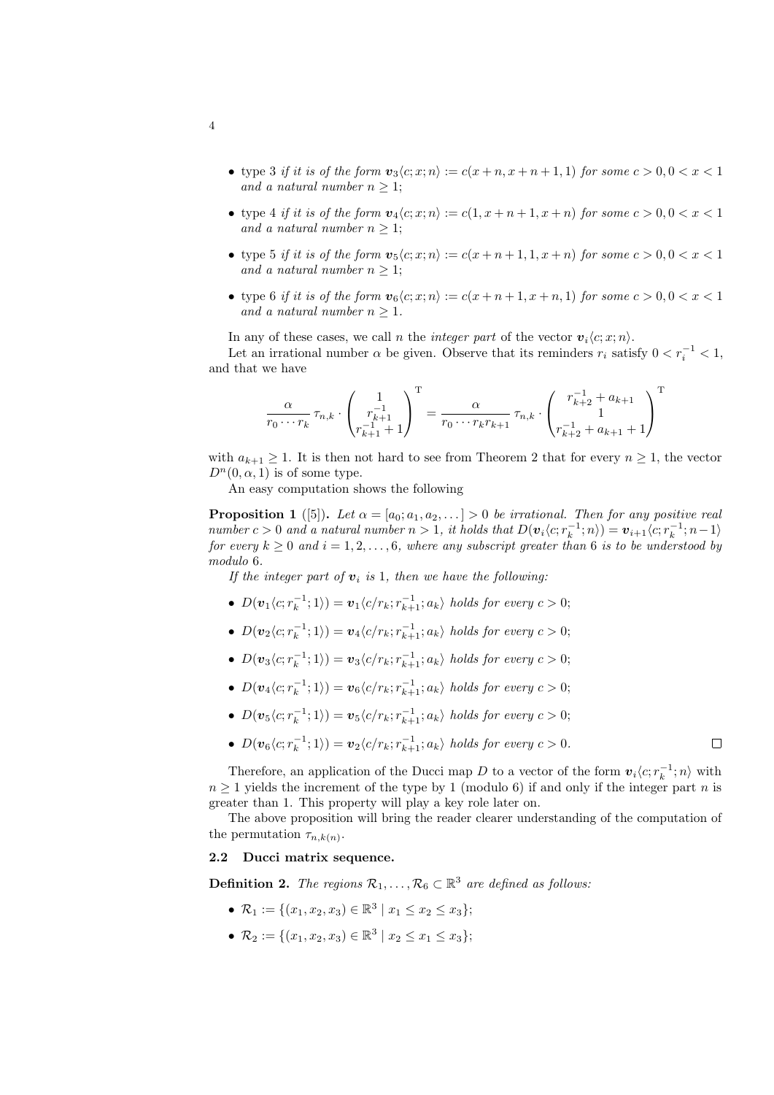- type 3 if it is of the form  $v_3\langle c; x; n\rangle := c(x+n, x+n+1, 1)$  for some  $c > 0, 0 < x < 1$ and a natural number  $n \geq 1$ ;
- type 4 if it is of the form  $v_4\langle c; x; n \rangle := c(1, x + n + 1, x + n)$  for some  $c > 0, 0 < x < 1$ and a natural number  $n \geq 1$ ;
- type 5 if it is of the form  $v_5\langle c; x; n \rangle := c(x+n+1, 1, x+n)$  for some  $c > 0, 0 < x < 1$ and a natural number  $n \geq 1$ ;
- type 6 if it is of the form  $\mathbf{v}_6\langle c; x; n\rangle := c(x+n+1, x+n, 1)$  for some  $c > 0, 0 < x < 1$ and a natural number  $n > 1$ .

In any of these cases, we call *n* the *integer part* of the vector  $\mathbf{v}_i \langle c; x; n \rangle$ .

Let an irrational number  $\alpha$  be given. Observe that its reminders  $r_i$  satisfy  $0 < r_i^{-1} < 1$ , and that we have

$$
\frac{\alpha}{r_0 \cdots r_k} \tau_{n,k} \cdot \begin{pmatrix} 1 \\ r_{k+1}^{-1} \\ r_{k+1}^{-1} + 1 \end{pmatrix}^{\mathrm{T}} = \frac{\alpha}{r_0 \cdots r_k r_{k+1}} \tau_{n,k} \cdot \begin{pmatrix} r_{k+2}^{-1} + a_{k+1} \\ 1 \\ r_{k+2}^{-1} + a_{k+1} + 1 \end{pmatrix}^{\mathrm{T}}
$$

with  $a_{k+1} \geq 1$ . It is then not hard to see from Theorem 2 that for every  $n \geq 1$ , the vector  $D^n(0, \alpha, 1)$  is of some type.

An easy computation shows the following

**Proposition 1** ([5]). Let  $\alpha = [a_0; a_1, a_2, \ldots] > 0$  be irrational. Then for any positive real number  $c > 0$  and a natural number  $n > 1$ , it holds that  $D(\mathbf{v}_i \langle c; r_k^{-1}; n \rangle) = \mathbf{v}_{i+1} \langle c; r_k^{-1}; n-1 \rangle$ for every  $k \geq 0$  and  $i = 1, 2, \ldots, 6$ , where any subscript greater than 6 is to be understood by modulo 6.

If the integer part of  $v_i$  is 1, then we have the following:

- $D(\boldsymbol{v}_1\langle c; r_k^{-1};1\rangle) = \boldsymbol{v}_1\langle c/r_k; r_{k+1}^{-1}; a_k\rangle$  holds for every  $c > 0$ ;
- $D(\boldsymbol{v}_2\langle c; r_k^{-1};1\rangle) = \boldsymbol{v}_4\langle c/r_k; r_{k+1}^{-1}; a_k\rangle$  holds for every  $c > 0$ ;
- $D(\boldsymbol{v}_3\langle c; r_k^{-1};1\rangle) = \boldsymbol{v}_3\langle c/r_k; r_{k+1}^{-1}; a_k\rangle$  holds for every  $c > 0$ ;
- $D(\boldsymbol{v}_4\langle c; r_k^{-1};1\rangle) = \boldsymbol{v}_6\langle c/r_k; r_{k+1}^{-1}; a_k\rangle$  holds for every  $c > 0$ ;
- $D(\boldsymbol{v}_5\langle c; r_k^{-1};1\rangle) = \boldsymbol{v}_5\langle c/r_k; r_{k+1}^{-1}; a_k\rangle$  holds for every  $c > 0$ ;
- $D(\boldsymbol{v}_6\langle c; r_k^{-1};1\rangle) = \boldsymbol{v}_2\langle c/r_k; r_{k+1}^{-1}; a_k\rangle$  holds for every  $c > 0$ .  $\Box$

Therefore, an application of the Ducci map D to a vector of the form  $v_i \langle c; r_k^{-1} ; n \rangle$  with  $n \geq 1$  yields the increment of the type by 1 (modulo 6) if and only if the integer part n is greater than 1. This property will play a key role later on.

The above proposition will bring the reader clearer understanding of the computation of the permutation  $\tau_{n,k(n)}$ .

## 2.2 Ducci matrix sequence.

**Definition 2.** The regions  $\mathcal{R}_1, \ldots, \mathcal{R}_6 \subset \mathbb{R}^3$  are defined as follows:

- $\mathcal{R}_1 := \{ (x_1, x_2, x_3) \in \mathbb{R}^3 \mid x_1 \le x_2 \le x_3 \};$
- $\mathcal{R}_2 := \{ (x_1, x_2, x_3) \in \mathbb{R}^3 \mid x_2 \le x_1 \le x_3 \};$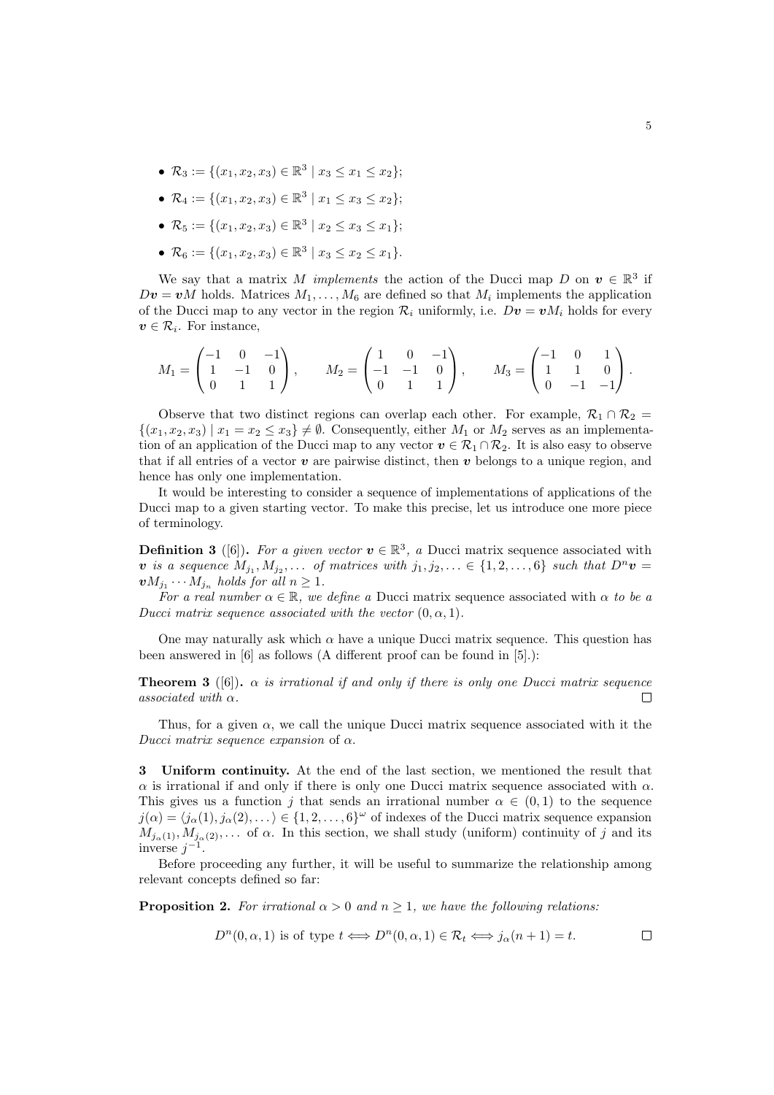- $\mathcal{R}_3 := \{ (x_1, x_2, x_3) \in \mathbb{R}^3 \mid x_3 \le x_1 \le x_2 \};$
- $\mathcal{R}_4 := \{ (x_1, x_2, x_3) \in \mathbb{R}^3 \mid x_1 \le x_3 \le x_2 \};$
- $\mathcal{R}_5 := \{ (x_1, x_2, x_3) \in \mathbb{R}^3 \mid x_2 \le x_3 \le x_1 \};$
- $\mathcal{R}_6 := \{ (x_1, x_2, x_3) \in \mathbb{R}^3 \mid x_3 \le x_2 \le x_1 \}.$

We say that a matrix M implements the action of the Ducci map D on  $v \in \mathbb{R}^3$  if  $D\mathbf{v} = \mathbf{v}M$  holds. Matrices  $M_1, \ldots, M_6$  are defined so that  $M_i$  implements the application of the Ducci map to any vector in the region  $\mathcal{R}_i$  uniformly, i.e.  $Dv = vM_i$  holds for every  $v \in \mathcal{R}_i$ . For instance,

$$
M_1 = \begin{pmatrix} -1 & 0 & -1 \\ 1 & -1 & 0 \\ 0 & 1 & 1 \end{pmatrix}, \qquad M_2 = \begin{pmatrix} 1 & 0 & -1 \\ -1 & -1 & 0 \\ 0 & 1 & 1 \end{pmatrix}, \qquad M_3 = \begin{pmatrix} -1 & 0 & 1 \\ 1 & 1 & 0 \\ 0 & -1 & -1 \end{pmatrix}.
$$

Observe that two distinct regions can overlap each other. For example,  $\mathcal{R}_1 \cap \mathcal{R}_2 =$  $\{(x_1, x_2, x_3) \mid x_1 = x_2 \le x_3\} \ne \emptyset$ . Consequently, either  $M_1$  or  $M_2$  serves as an implementation of an application of the Ducci map to any vector  $v \in \mathcal{R}_1 \cap \mathcal{R}_2$ . It is also easy to observe that if all entries of a vector  $\boldsymbol{v}$  are pairwise distinct, then  $\boldsymbol{v}$  belongs to a unique region, and hence has only one implementation.

It would be interesting to consider a sequence of implementations of applications of the Ducci map to a given starting vector. To make this precise, let us introduce one more piece of terminology.

**Definition 3** ([6]). For a given vector  $v \in \mathbb{R}^3$ , a Ducci matrix sequence associated with v is a sequence  $M_{j_1}, M_{j_2}, \ldots$  of matrices with  $j_1, j_2, \ldots \in \{1, 2, \ldots, 6\}$  such that  $D^n v =$  $vM_{j_1}\cdots M_{j_n}$  holds for all  $n\geq 1$ .

For a real number  $\alpha \in \mathbb{R}$ , we define a Ducci matrix sequence associated with  $\alpha$  to be a Ducci matrix sequence associated with the vector  $(0, \alpha, 1)$ .

One may naturally ask which  $\alpha$  have a unique Ducci matrix sequence. This question has been answered in [6] as follows (A different proof can be found in [5].):

**Theorem 3** ([6]).  $\alpha$  is irrational if and only if there is only one Ducci matrix sequence associated with  $\alpha$ .  $\Box$ 

Thus, for a given  $\alpha$ , we call the unique Ducci matrix sequence associated with it the Ducci matrix sequence expansion of  $\alpha$ .

3 Uniform continuity. At the end of the last section, we mentioned the result that  $\alpha$  is irrational if and only if there is only one Ducci matrix sequence associated with  $\alpha$ . This gives us a function j that sends an irrational number  $\alpha \in (0,1)$  to the sequence  $j(\alpha) = \langle j_\alpha(1), j_\alpha(2), \dots \rangle \in \{1, 2, \dots, 6\}^\omega$  of indexes of the Ducci matrix sequence expansion  $M_{j_{\alpha}(1)}, M_{j_{\alpha}(2)}, \ldots$  of  $\alpha$ . In this section, we shall study (uniform) continuity of j and its inverse  $j^{-1}$ .

Before proceeding any further, it will be useful to summarize the relationship among relevant concepts defined so far:

**Proposition 2.** For irrational  $\alpha > 0$  and  $n \geq 1$ , we have the following relations:

$$
D^{n}(0, \alpha, 1) \text{ is of type } t \Longleftrightarrow D^{n}(0, \alpha, 1) \in \mathcal{R}_{t} \Longleftrightarrow j_{\alpha}(n+1) = t.
$$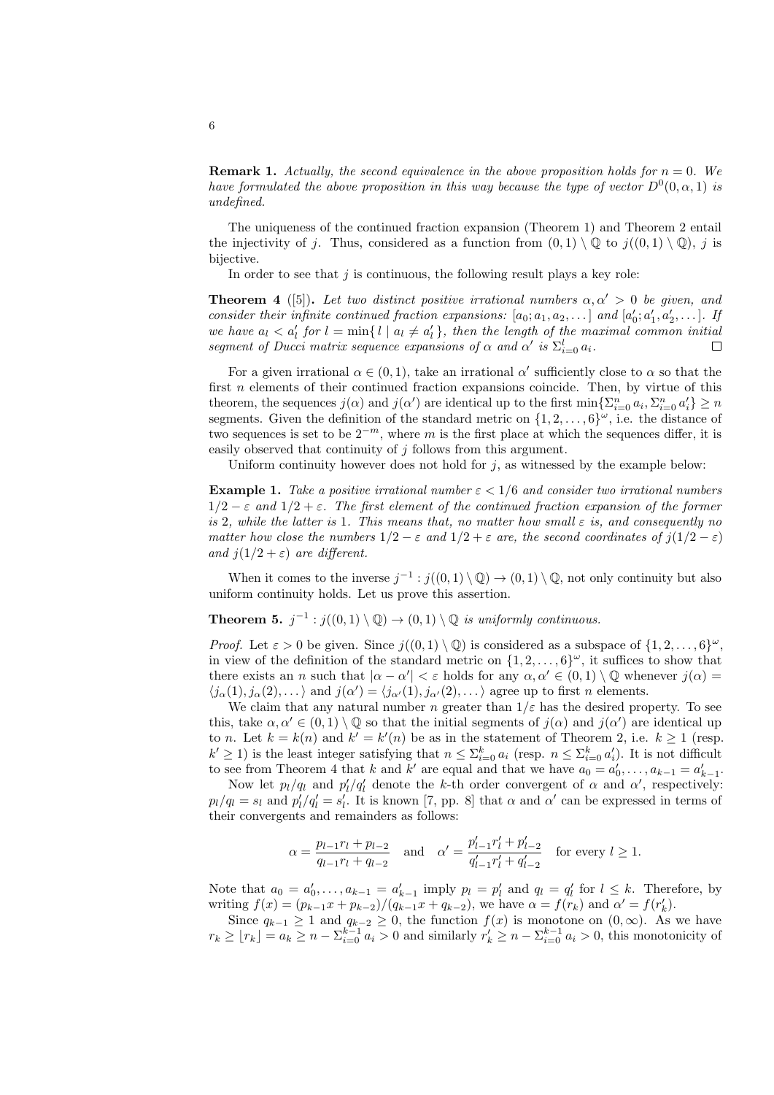**Remark 1.** Actually, the second equivalence in the above proposition holds for  $n = 0$ . We have formulated the above proposition in this way because the type of vector  $D^0(0, \alpha, 1)$  is undefined.

The uniqueness of the continued fraction expansion (Theorem 1) and Theorem 2 entail the injectivity of j. Thus, considered as a function from  $(0, 1) \setminus \mathbb{Q}$  to  $j((0, 1) \setminus \mathbb{Q})$ , j is bijective.

In order to see that  $j$  is continuous, the following result plays a key role:

**Theorem 4** ([5]). Let two distinct positive irrational numbers  $\alpha, \alpha' > 0$  be given, and consider their infinite continued fraction expansions:  $[a_0; a_1, a_2, \ldots]$  and  $[a'_0; a'_1, a'_2, \ldots]$ . If we have  $a_l < a'_l$  for  $l = \min\{l \mid a_l \neq a'_l\}$ , then the length of the maximal common initial segment of Ducci matrix sequence expansions of  $\alpha$  and  $\alpha'$  is  $\Sigma_{i=0}^l a_i$ .  $\Box$ 

For a given irrational  $\alpha \in (0,1)$ , take an irrational  $\alpha'$  sufficiently close to  $\alpha$  so that the first  $n$  elements of their continued fraction expansions coincide. Then, by virtue of this theorem, the sequences  $j(\alpha)$  and  $j(\alpha')$  are identical up to the first  $\min\{\sum_{i=0}^{n} a_i, \sum_{i=0}^{n} a'_i\} \ge n$ segments. Given the definition of the standard metric on  $\{1, 2, \ldots, 6\}^{\omega}$ , i.e. the distance of two sequences is set to be  $2^{-m}$ , where m is the first place at which the sequences differ, it is easily observed that continuity of j follows from this argument.

Uniform continuity however does not hold for  $j$ , as witnessed by the example below:

**Example 1.** Take a positive irrational number  $\varepsilon < 1/6$  and consider two irrational numbers  $1/2 - \varepsilon$  and  $1/2 + \varepsilon$ . The first element of the continued fraction expansion of the former is 2, while the latter is 1. This means that, no matter how small  $\varepsilon$  is, and consequently no matter how close the numbers  $1/2 - \varepsilon$  and  $1/2 + \varepsilon$  are, the second coordinates of  $i(1/2 - \varepsilon)$ and  $j(1/2 + \varepsilon)$  are different.

When it comes to the inverse  $j^{-1}$ :  $j((0,1) \setminus \mathbb{Q}) \to (0,1) \setminus \mathbb{Q}$ , not only continuity but also uniform continuity holds. Let us prove this assertion.

**Theorem 5.**  $j^{-1}$  :  $j((0,1) \setminus \mathbb{Q}) \rightarrow (0,1) \setminus \mathbb{Q}$  is uniformly continuous.

*Proof.* Let  $\varepsilon > 0$  be given. Since  $j((0,1) \setminus \mathbb{Q})$  is considered as a subspace of  $\{1, 2, ..., 6\}^{\omega}$ , in view of the definition of the standard metric on  $\{1, 2, \ldots, 6\}^{\omega}$ , it suffices to show that there exists an n such that  $|\alpha - \alpha'| < \varepsilon$  holds for any  $\alpha, \alpha' \in (0, 1) \setminus \mathbb{Q}$  whenever  $j(\alpha) =$  $\langle j_{\alpha}(1), j_{\alpha}(2), \ldots \rangle$  and  $j(\alpha') = \langle j_{\alpha'}(1), j_{\alpha'}(2), \ldots \rangle$  agree up to first n elements.

We claim that any natural number n greater than  $1/\varepsilon$  has the desired property. To see this, take  $\alpha, \alpha' \in (0, 1) \setminus \mathbb{Q}$  so that the initial segments of  $j(\alpha)$  and  $j(\alpha')$  are identical up to *n*. Let  $k = k(n)$  and  $k' = k'(n)$  be as in the statement of Theorem 2, i.e.  $k \ge 1$  (resp.  $k' \geq 1$ ) is the least integer satisfying that  $n \leq \sum_{i=0}^{k} a_i$  (resp.  $n \leq \sum_{i=0}^{k} a'_i$ ). It is not difficult to see from Theorem 4 that k and k' are equal and that we have  $a_0 = a'_0, \ldots, a_{k-1} = a'_{k-1}$ .

Now let  $p_l/q_l$  and  $p'_l/q'_l$  denote the k-th order convergent of  $\alpha$  and  $\alpha'$ , respectively:  $p_l/q_l = s_l$  and  $p'_l/q'_l = s'_l$ . It is known [7, pp. 8] that  $\alpha$  and  $\alpha'$  can be expressed in terms of their convergents and remainders as follows:

$$
\alpha = \frac{p_{l-1}r_l + p_{l-2}}{q_{l-1}r_l + q_{l-2}} \quad \text{and} \quad \alpha' = \frac{p'_{l-1}r'_l + p'_{l-2}}{q'_{l-1}r'_l + q'_{l-2}} \quad \text{for every } l \ge 1.
$$

Note that  $a_0 = a'_0, \ldots, a_{k-1} = a'_{k-1}$  imply  $p_l = p'_l$  and  $q_l = q'_l$  for  $l \leq k$ . Therefore, by writing  $f(x) = (p_{k-1}x + p_{k-2})/(q_{k-1}x + q_{k-2})$ , we have  $\alpha = f(r_k)$  and  $\alpha' = f(r'_k)$ .

Since  $q_{k-1} \geq 1$  and  $q_{k-2} \geq 0$ , the function  $f(x)$  is monotone on  $(0, \infty)$ . As we have  $r_k \geq \lfloor r_k \rfloor = a_k \geq n - \sum_{i=0}^{k-1} a_i > 0$  and similarly  $r'_k \geq n - \sum_{i=0}^{k-1} a_i > 0$ , this monotonicity of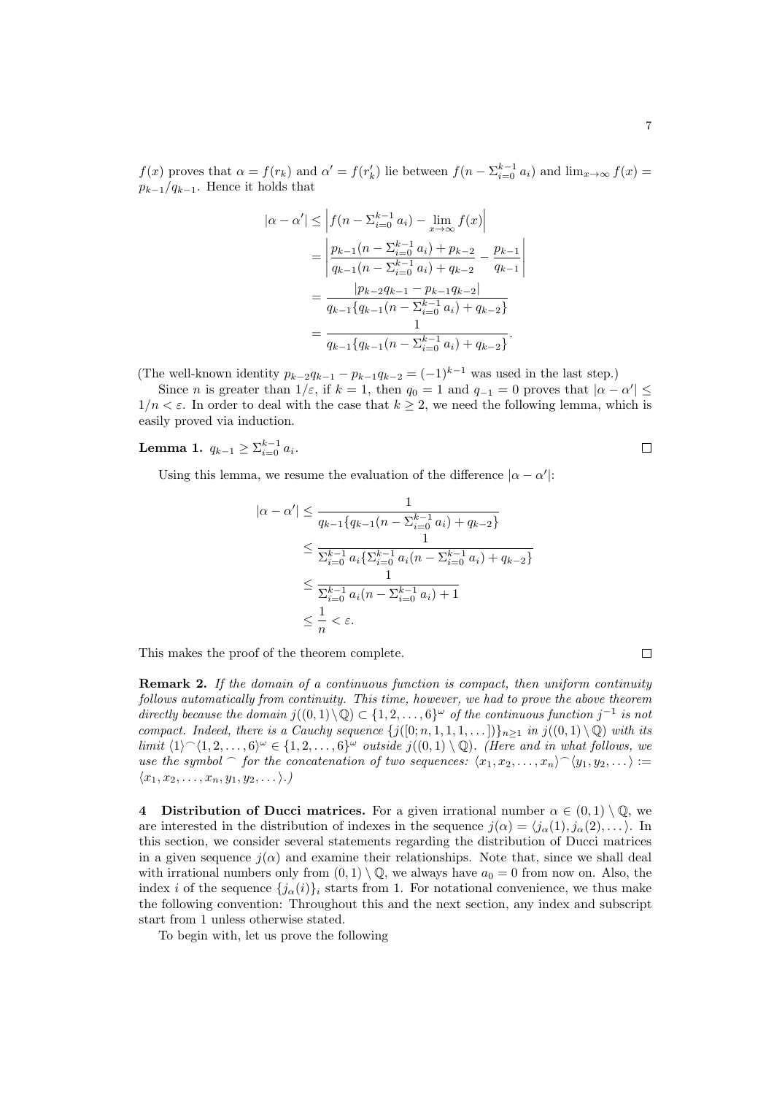$\overline{\phantom{a}}$  $\overline{\phantom{a}}$  $\overline{\phantom{a}}$  $\overline{\phantom{a}}$  $\overline{\phantom{a}}$ 

 $f(x)$  proves that  $\alpha = f(r_k)$  and  $\alpha' = f(r'_k)$  lie between  $f(n - \sum_{i=0}^{k-1} a_i)$  and  $\lim_{x\to\infty} f(x) =$  $p_{k-1}/q_{k-1}$ . Hence it holds that

$$
|\alpha - \alpha'| \leq \left| f(n - \sum_{i=0}^{k-1} a_i) - \lim_{x \to \infty} f(x) \right|
$$
  
= 
$$
\left| \frac{p_{k-1}(n - \sum_{i=0}^{k-1} a_i) + p_{k-2}}{q_{k-1}(n - \sum_{i=0}^{k-1} a_i) + q_{k-2}} - \frac{p_{k-1}}{q_{k-1}} \right|
$$
  
= 
$$
\frac{|p_{k-2}q_{k-1} - p_{k-1}q_{k-2}|}{q_{k-1}\{q_{k-1}(n - \sum_{i=0}^{k-1} a_i) + q_{k-2}\}}
$$
  
= 
$$
\frac{1}{q_{k-1}\{q_{k-1}(n - \sum_{i=0}^{k-1} a_i) + q_{k-2}\}}.
$$

(The well-known identity  $p_{k-2}q_{k-1} - p_{k-1}q_{k-2} = (-1)^{k-1}$  was used in the last step.)

Since *n* is greater than  $1/\varepsilon$ , if  $k = 1$ , then  $q_0 = 1$  and  $q_{-1} = 0$  proves that  $|\alpha - \alpha'| \leq$  $1/n < \varepsilon$ . In order to deal with the case that  $k \geq 2$ , we need the following lemma, which is easily proved via induction.

Lemma 1.  $q_{k-1} \ge \sum_{i=0}^{k-1} a_i$ .

Using this lemma, we resume the evaluation of the difference  $|\alpha - \alpha'|$ :

$$
|\alpha - \alpha'| \leq \frac{1}{q_{k-1}\{q_{k-1}(n-\sum_{i=0}^{k-1} a_i) + q_{k-2}\}}
$$
  
\n
$$
\leq \frac{1}{\sum_{i=0}^{k-1} a_i \{\sum_{i=0}^{k-1} a_i(n-\sum_{i=0}^{k-1} a_i) + q_{k-2}\}}
$$
  
\n
$$
\leq \frac{1}{\sum_{i=0}^{k-1} a_i(n-\sum_{i=0}^{k-1} a_i) + 1}
$$
  
\n
$$
\leq \frac{1}{n} < \varepsilon.
$$

This makes the proof of the theorem complete.

Remark 2. If the domain of a continuous function is compact, then uniform continuity follows automatically from continuity. This time, however, we had to prove the above theorem directly because the domain  $j((0,1)\setminus\mathbb{Q})\subset\{1,2,\ldots,6\}^\omega$  of the continuous function  $j^{-1}$  is not compact. Indeed, there is a Cauchy sequence  $\{j([0;n,1,1,1,\ldots])\}_{n\geq 1}$  in  $j((0,1)\setminus\mathbb{Q})$  with its limit  $\langle 1 \rangle \hat{} \langle 1, 2, \ldots, 6 \rangle^{\omega} \in \{1, 2, \ldots, 6\}^{\omega}$  outside  $j((0, 1) \setminus \mathbb{Q})$ . (Here and in what follows, we use the symbol  $\cap$  for the concatenation of two sequences:  $\langle x_1, x_2, \ldots, x_n \rangle \hat{ } \langle y_1, y_2, \ldots \rangle :=$  $\langle x_1, x_2, \ldots, x_n, y_1, y_2, \ldots \rangle$ .)

4 Distribution of Ducci matrices. For a given irrational number  $\alpha \in (0,1) \setminus \mathbb{Q}$ , we are interested in the distribution of indexes in the sequence  $j(\alpha) = \langle j_{\alpha}(1), j_{\alpha}(2), \ldots \rangle$ . In this section, we consider several statements regarding the distribution of Ducci matrices in a given sequence  $i(\alpha)$  and examine their relationships. Note that, since we shall deal with irrational numbers only from  $(0, 1) \setminus \mathbb{Q}$ , we always have  $a_0 = 0$  from now on. Also, the index i of the sequence  $\{j_\alpha(i)\}_i$  starts from 1. For notational convenience, we thus make the following convention: Throughout this and the next section, any index and subscript start from 1 unless otherwise stated.

To begin with, let us prove the following

 $\Box$ 

 $\Box$ 

7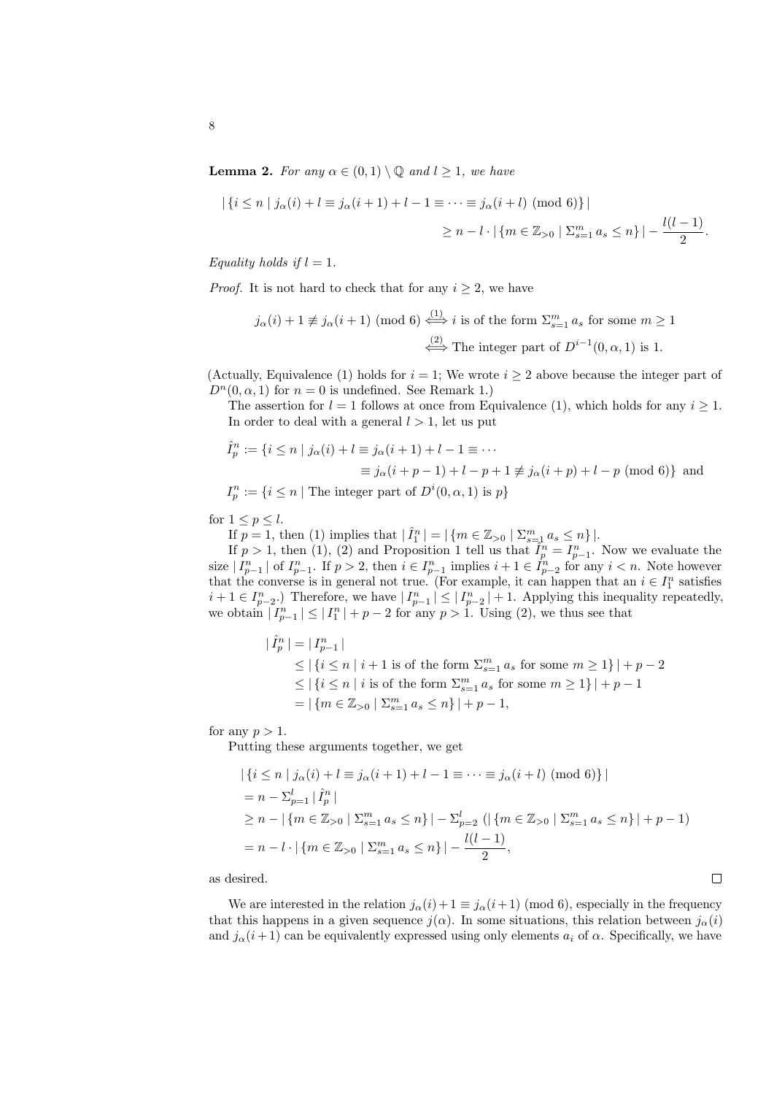**Lemma 2.** For any  $\alpha \in (0,1) \setminus \mathbb{Q}$  and  $l \geq 1$ , we have

$$
|\{i \le n \mid j_{\alpha}(i) + l \equiv j_{\alpha}(i+1) + l - 1 \equiv \dots \equiv j_{\alpha}(i+l) \pmod{6}\}|
$$
  

$$
\ge n - l \cdot |\{m \in \mathbb{Z}_{>0} \mid \Sigma_{s=1}^{m} a_s \le n\}| - \frac{l(l-1)}{2}.
$$

Equality holds if  $l = 1$ .

*Proof.* It is not hard to check that for any  $i \geq 2$ , we have

$$
j_{\alpha}(i) + 1 \not\equiv j_{\alpha}(i+1) \pmod{6} \stackrel{(1)}{\iff} i \text{ is of the form } \Sigma_{s=1}^{m} a_s \text{ for some } m \ge 1
$$

$$
\stackrel{(2)}{\iff} \text{The integer part of } D^{i-1}(0, \alpha, 1) \text{ is } 1.
$$

(Actually, Equivalence (1) holds for  $i = 1$ ; We wrote  $i \geq 2$  above because the integer part of  $D^n(0, \alpha, 1)$  for  $n = 0$  is undefined. See Remark 1.)

The assertion for  $l = 1$  follows at once from Equivalence (1), which holds for any  $i \geq 1$ . In order to deal with a general  $l > 1$ , let us put

$$
\begin{aligned}\n\hat{I}_p^n &:= \{ i \le n \mid j_\alpha(i) + l \equiv j_\alpha(i+1) + l - 1 \equiv \cdots \\
& \equiv j_\alpha(i+p-1) + l - p + 1 \not\equiv j_\alpha(i+p) + l - p \pmod{6} \} \text{ and } \\
I_p^n &:= \{ i \le n \mid \text{The integer part of } D^i(0, \alpha, 1) \text{ is } p \}\n\end{aligned}
$$

for  $1 \leq p \leq l$ .

 $\overline{\phantom{a}}$ 

If  $p = 1$ , then (1) implies that  $|\hat{I}_1^n| = |\{m \in \mathbb{Z}_{>0} \mid \sum_{s=1}^m a_s \leq n\}|.$ 

If  $p > 1$ , then (1), (2) and Proposition 1 tell us that  $\hat{I}_p^n = I_{p-1}^n$ . Now we evaluate the size  $|I_{p-1}^n|$  of  $I_{p-1}^n$ . If  $p > 2$ , then  $i \in I_{p-1}^n$  implies  $i+1 \in I_{p-2}^n$  for any  $i < n$ . Note however that the converse is in general not true. (For example, it can happen that an  $i \in I_1^n$  satisfies  $i+1 \in I_{p-2}^n$ .) Therefore, we have  $|I_{p-1}^n| \leq |I_{p-2}^n| + 1$ . Applying this inequality repeatedly, we obtain  $|I_{p-1}^n| \leq |I_1^n| + p - 2$  for any  $p > 1$ . Using (2), we thus see that

> $|\hat{I}_p^n| = |I_{p-1}^n|$  $\leq$   $|\{i \leq n \mid i+1 \text{ is of the form } \sum_{s=1}^{m} a_s \text{ for some } m \geq 1\}| + p - 2$  $\leq$   $|\{i \leq n \mid i \text{ is of the form } \sum_{s=1}^{m} a_s \text{ for some } m \geq 1\}| + p - 1$  $= |\{m \in \mathbb{Z}_{>0} \mid \sum_{s=1}^{m} a_s \leq n\}| + p - 1,$

for any  $p > 1$ .

Putting these arguments together, we get

$$
\begin{aligned} & \left| \left\{ i \le n \mid j_{\alpha}(i) + l \equiv j_{\alpha}(i+1) + l - 1 \equiv \dots \equiv j_{\alpha}(i+l) \pmod{6} \right\} \right| \\ &= n - \sum_{p=1}^{l} \left| \hat{I}_{p}^{n} \right| \\ &\ge n - \left| \left\{ m \in \mathbb{Z}_{>0} \mid \sum_{s=1}^{m} a_{s} \le n \right\} \right| - \sum_{p=2}^{l} \left( \left| \left\{ m \in \mathbb{Z}_{>0} \mid \sum_{s=1}^{m} a_{s} \le n \right\} \right| + p - 1 \right) \\ &= n - l \cdot \left| \left\{ m \in \mathbb{Z}_{>0} \mid \sum_{s=1}^{m} a_{s} \le n \right\} \right| - \frac{l(l-1)}{2}, \end{aligned}
$$

as desired.

We are interested in the relation  $j_{\alpha}(i) + 1 \equiv j_{\alpha}(i+1) \pmod{6}$ , especially in the frequency that this happens in a given sequence  $j(\alpha)$ . In some situations, this relation between  $j_{\alpha}(i)$ and  $j_{\alpha}(i+1)$  can be equivalently expressed using only elements  $a_i$  of  $\alpha$ . Specifically, we have

| ۰ |  |  |
|---|--|--|
|   |  |  |
|   |  |  |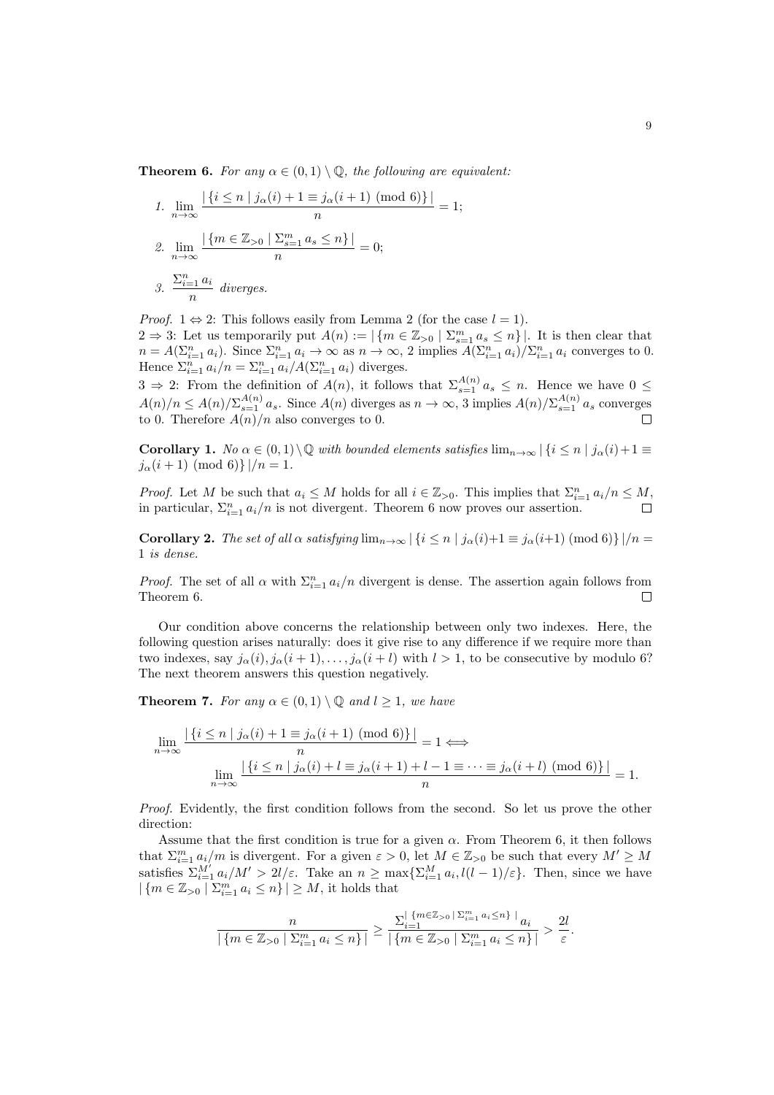**Theorem 6.** For any  $\alpha \in (0,1) \setminus \mathbb{Q}$ , the following are equivalent:

1. 
$$
\lim_{n \to \infty} \frac{|\{i \le n \mid j_{\alpha}(i) + 1 \equiv j_{\alpha}(i+1) \pmod{6}\}|}{n} = 1;
$$
  
2. 
$$
\lim_{n \to \infty} \frac{|\{m \in \mathbb{Z}_{>0} \mid \Sigma_{s=1}^m a_s \le n\}|}{n} = 0;
$$
  
3. 
$$
\frac{\Sigma_{i=1}^n a_i}{n} \text{ diverges.}
$$

*Proof.*  $1 \Leftrightarrow 2$ : This follows easily from Lemma 2 (for the case  $l = 1$ ). 2 ⇒ 3: Let us temporarily put  $A(n) := |\{m \in \mathbb{Z}_{>0} \mid \sum_{s=1}^{m} a_s \leq n\}|$ . It is then clear that  $n = A(\sum_{i=1}^n a_i)$ . Since  $\sum_{i=1}^n a_i \to \infty$  as  $n \to \infty$ , 2 implies  $A(\sum_{i=1}^n a_i)/\sum_{i=1}^n a_i$  converges to 0. Hence  $\sum_{i=1}^n a_i/n = \sum_{i=1}^n a_i/A(\sum_{i=1}^n a_i)$  diverges.

 $3 \Rightarrow 2$ : From the definition of  $A(n)$ , it follows that  $\sum_{s=1}^{A(n)} a_s \leq n$ . Hence we have  $0 \leq$  $A(n)/n \leq A(n)/\sum_{s=1}^{A(n)} a_s$ . Since  $A(n)$  diverges as  $n \to \infty$ , 3 implies  $A(n)/\sum_{s=1}^{A(n)} a_s$  converges to 0. Therefore  $A(n)/n$  also converges to 0.

Corollary 1. No  $\alpha \in (0,1)\setminus\mathbb{Q}$  with bounded elements satisfies  $\lim_{n\to\infty} |\{i\leq n \mid j_\alpha(i)+1\equiv$  $j_{\alpha}(i+1) \pmod{6}$  |  $/n = 1$ .

*Proof.* Let M be such that  $a_i \leq M$  holds for all  $i \in \mathbb{Z}_{>0}$ . This implies that  $\sum_{i=1}^n a_i/n \leq M$ , in particular,  $\sum_{i=1}^{n} a_i/n$  is not divergent. Theorem 6 now proves our assertion.

Corollary 2. The set of all  $\alpha$  satisfying  $\lim_{n\to\infty} |\{i \leq n \mid j_\alpha(i)+1 \equiv j_\alpha(i+1) \pmod{6}\}|/n =$ 1 is dense.

*Proof.* The set of all  $\alpha$  with  $\sum_{i=1}^{n} a_i/n$  divergent is dense. The assertion again follows from Theorem 6.  $\Box$ 

Our condition above concerns the relationship between only two indexes. Here, the following question arises naturally: does it give rise to any difference if we require more than two indexes, say  $j_{\alpha}(i), j_{\alpha}(i+1), \ldots, j_{\alpha}(i+l)$  with  $l > 1$ , to be consecutive by modulo 6? The next theorem answers this question negatively.

**Theorem 7.** For any  $\alpha \in (0,1) \setminus \mathbb{Q}$  and  $l \geq 1$ , we have

$$
\lim_{n \to \infty} \frac{|\{i \le n \mid j_\alpha(i) + 1 \equiv j_\alpha(i+1) \pmod{6}\}|}{n} = 1 \Longleftrightarrow
$$

$$
\lim_{n \to \infty} \frac{|\{i \le n \mid j_\alpha(i) + l \equiv j_\alpha(i+1) + l - 1 \equiv \dots \equiv j_\alpha(i+l) \pmod{6}\}|}{n} = 1.
$$

Proof. Evidently, the first condition follows from the second. So let us prove the other direction:

Assume that the first condition is true for a given  $\alpha$ . From Theorem 6, it then follows that  $\sum_{i=1}^m a_i/m$  is divergent. For a given  $\varepsilon > 0$ , let  $M \in \mathbb{Z}_{>0}$  be such that every  $M' \geq M$ satisfies  $\sum_{i=1}^{M'} a_i/M' > 2l/\varepsilon$ . Take an  $n \ge \max\{\sum_{i=1}^{M} a_i, l(l-1)/\varepsilon\}$ . Then, since we have  $|\{m \in \mathbb{Z}_{>0} \mid \sum_{i=1}^{m} a_i \leq n\}| \geq M$ , it holds that

$$
\frac{n}{|\{m\in\mathbb{Z}_{>0}\mid \Sigma_{i=1}^m\,a_i\leq n\}|}\geq \frac{\Sigma_{i=1}^{|\{m\in\mathbb{Z}_{>0}\mid \Sigma_{i=1}^m\,a_i\leq n\}\,|\,a_i}{|\,\{m\in\mathbb{Z}_{>0}\mid \Sigma_{i=1}^m\,a_i\leq n\}\,|}>\frac{2l}{\varepsilon}.
$$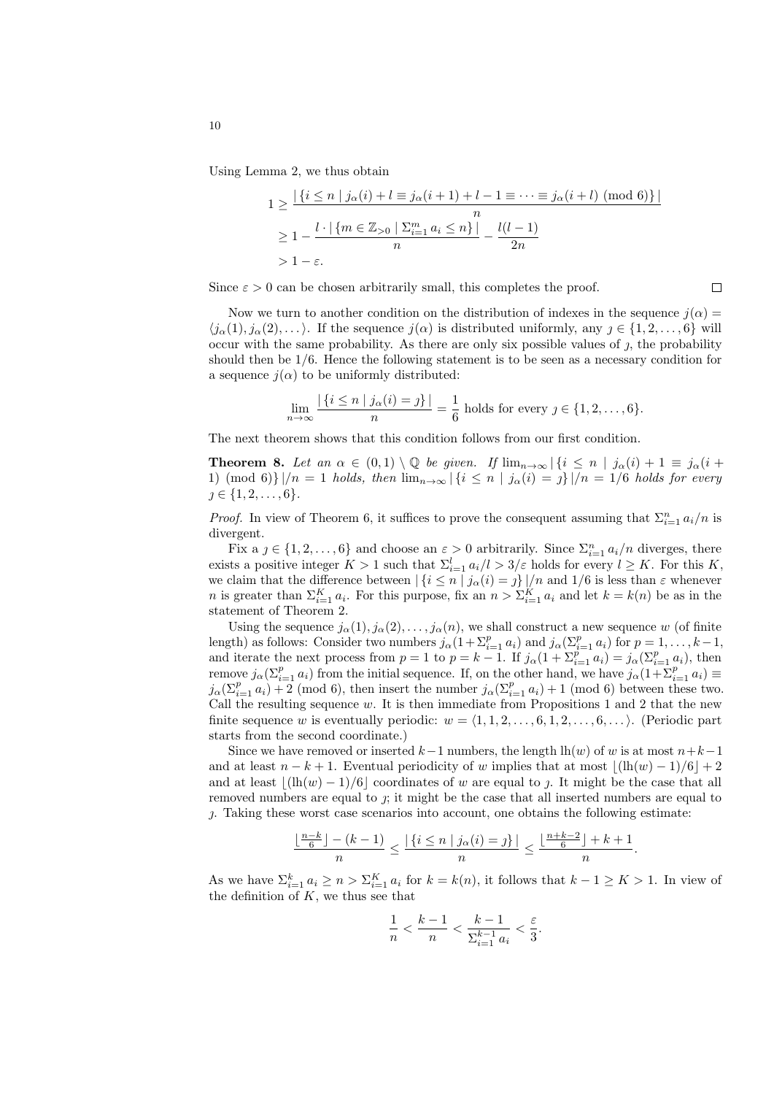Using Lemma 2, we thus obtain

$$
1 \ge \frac{|\{i \le n \mid j_{\alpha}(i) + l \equiv j_{\alpha}(i+1) + l - 1 \equiv \dots \equiv j_{\alpha}(i+l) \pmod{6}\}|}{n}
$$
  
\n
$$
\ge 1 - \frac{l \cdot |\{m \in \mathbb{Z}_{>0} \mid \Sigma_{i=1}^{m} a_i \le n\}|}{n} - \frac{l(l-1)}{2n}
$$
  
\n
$$
> 1 - \varepsilon.
$$

Since  $\varepsilon > 0$  can be chosen arbitrarily small, this completes the proof.

Now we turn to another condition on the distribution of indexes in the sequence  $j(\alpha)$  =  $\langle i_{\alpha}(1), i_{\alpha}(2), \ldots \rangle$ . If the sequence  $i(\alpha)$  is distributed uniformly, any  $j \in \{1, 2, \ldots, 6\}$  will occur with the same probability. As there are only six possible values of  $\jmath$ , the probability should then be 1/6. Hence the following statement is to be seen as a necessary condition for a sequence  $j(\alpha)$  to be uniformly distributed:

$$
\lim_{n \to \infty} \frac{|\{i \le n \mid j_{\alpha}(i) = j\}|}{n} = \frac{1}{6} \text{ holds for every } j \in \{1, 2, \dots, 6\}.
$$

The next theorem shows that this condition follows from our first condition.

**Theorem 8.** Let an  $\alpha \in (0,1) \setminus \mathbb{Q}$  be given. If  $\lim_{n\to\infty} |\{i \le n \mid j_\alpha(i) + 1 \equiv j_\alpha(i+1)\}|$ 1) (mod 6)}  $|n = 1$  holds, then  $\lim_{n\to\infty} |\{i \leq n \mid j_\alpha(i) = j\}|/n = 1/6$  holds for every  $j \in \{1, 2, \ldots, 6\}.$ 

*Proof.* In view of Theorem 6, it suffices to prove the consequent assuming that  $\sum_{i=1}^{n} a_i/n$  is divergent.

Fix  $a \, j \in \{1, 2, \ldots, 6\}$  and choose an  $\varepsilon > 0$  arbitrarily. Since  $\sum_{i=1}^{n} a_i/n$  diverges, there exists a positive integer  $K > 1$  such that  $\Sigma_{i=1}^l a_i/l > 3/\varepsilon$  holds for every  $l \geq K$ . For this K, we claim that the difference between  $|\{i \leq n \mid j_\alpha(i) = j\}|/n$  and  $1/6$  is less than  $\varepsilon$  whenever *n* is greater than  $\Sigma_{i=1}^K a_i$ . For this purpose, fix an  $n > \Sigma_{i=1}^K a_i$  and let  $k = k(n)$  be as in the statement of Theorem 2.

Using the sequence  $j_{\alpha}(1), j_{\alpha}(2), \ldots, j_{\alpha}(n)$ , we shall construct a new sequence w (of finite length) as follows: Consider two numbers  $j_{\alpha}(1+\sum_{i=1}^p a_i)$  and  $j_{\alpha}(\sum_{i=1}^p a_i)$  for  $p=1,\ldots,k-1$ , and iterate the next process from  $p = 1$  to  $p = k - 1$ . If  $j_{\alpha}(1 + \sum_{i=1}^{p} a_i) = j_{\alpha}(\sum_{i=1}^{p} a_i)$ , then remove  $j_{\alpha}(\sum_{i=1}^p a_i)$  from the initial sequence. If, on the other hand, we have  $j_{\alpha}(1+\sum_{i=1}^p a_i) \equiv$  $j_{\alpha}(\sum_{i=1}^{p} a_i) + 2 \pmod{6}$ , then insert the number  $j_{\alpha}(\sum_{i=1}^{p} a_i) + 1 \pmod{6}$  between these two. Call the resulting sequence  $w$ . It is then immediate from Propositions 1 and 2 that the new finite sequence w is eventually periodic:  $w = \langle 1, 1, 2, \ldots, 6, 1, 2, \ldots, 6, \ldots \rangle$ . (Periodic part starts from the second coordinate.)

Since we have removed or inserted  $k-1$  numbers, the length lh(w) of w is at most  $n+k-1$ and at least  $n - k + 1$ . Eventual periodicity of w implies that at most  $|(lh(w) - 1)/6| + 2$ and at least  $\vert(\mathrm{lh}(w) - 1)/6\vert$  coordinates of w are equal to *f*. It might be the case that all removed numbers are equal to  $\gamma$ ; it might be the case that all inserted numbers are equal to . Taking these worst case scenarios into account, one obtains the following estimate:

$$
\frac{\lfloor \frac{n-k}{6} \rfloor - (k-1)}{n} \le \frac{|\{i \le n \mid j_\alpha(i) = j\}|}{n} \le \frac{\lfloor \frac{n+k-2}{6} \rfloor + k + 1}{n}.
$$

As we have  $\sum_{i=1}^k a_i \geq n > \sum_{i=1}^K a_i$  for  $k = k(n)$ , it follows that  $k - 1 \geq K > 1$ . In view of the definition of  $K$ , we thus see that

$$
\frac{1}{n} < \frac{k-1}{n} < \frac{k-1}{\sum_{i=1}^{k-1} a_i} < \frac{\varepsilon}{3}.
$$

 $\Box$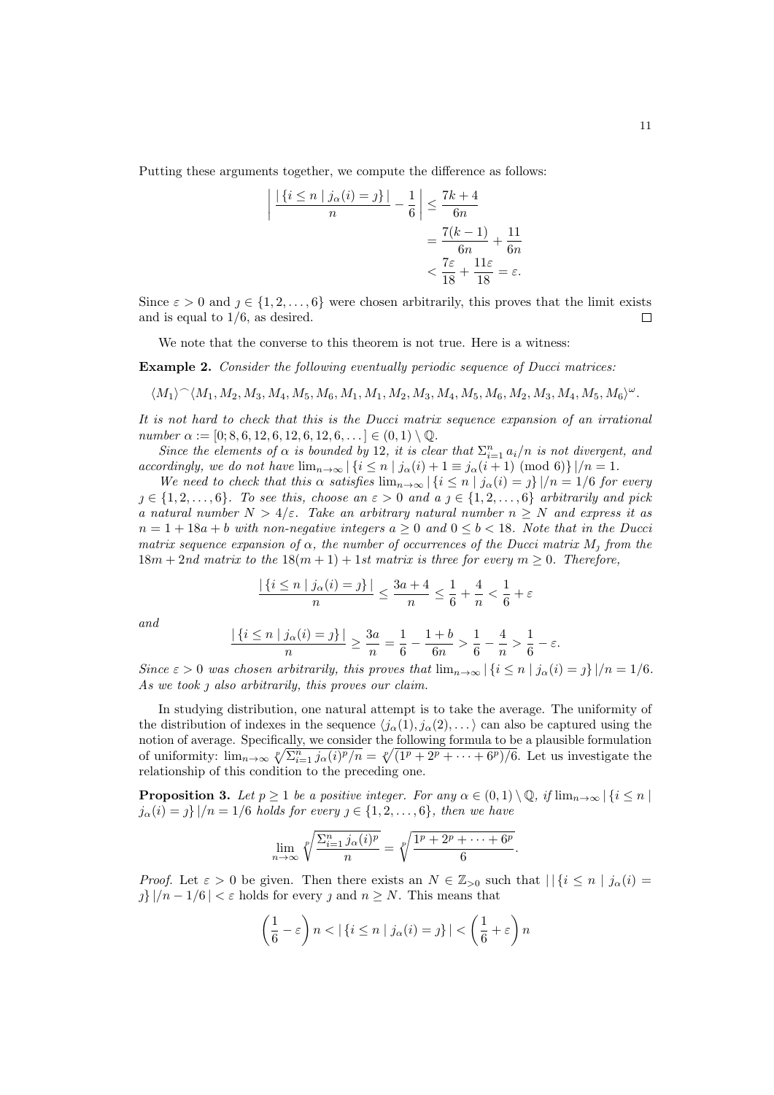Putting these arguments together, we compute the difference as follows:

$$
\left| \frac{|\{i \le n \mid j_\alpha(i) = j\}|}{n} - \frac{1}{6} \right| \le \frac{7k+4}{6n}
$$

$$
= \frac{7(k-1)}{6n} + \frac{11}{6n}
$$

$$
< \frac{7\varepsilon}{18} + \frac{11\varepsilon}{18} = \varepsilon.
$$

Since  $\varepsilon > 0$  and  $j \in \{1, 2, ..., 6\}$  were chosen arbitrarily, this proves that the limit exists and is equal to  $1/6$ , as desired.  $\Box$ 

We note that the converse to this theorem is not true. Here is a witness:

Example 2. Consider the following eventually periodic sequence of Ducci matrices:

$$
\langle M_1\rangle{}^\frown \langle M_1,M_2,M_3,M_4,M_5,M_6,M_1,M_1,M_2,M_3,M_4,M_5,M_6,M_2,M_3,M_4,M_5,M_6\rangle^{\omega}.
$$

It is not hard to check that this is the Ducci matrix sequence expansion of an irrational number  $\alpha := [0; 8, 6, 12, 6, 12, 6, 12, 6, \ldots] \in (0, 1) \setminus \mathbb{Q}$ .

Since the elements of  $\alpha$  is bounded by 12, it is clear that  $\sum_{i=1}^n a_i/n$  is not divergent, and accordingly, we do not have  $\lim_{n\to\infty} |\{i \leq n \mid j_\alpha(i) + 1 \equiv j_\alpha(i+1) \pmod{6}\}|/n = 1$ .

We need to check that this  $\alpha$  satisfies  $\lim_{n\to\infty} |\{i \leq n \mid j_\alpha(i) = j\}|/n = 1/6$  for every  $j \in \{1, 2, \ldots, 6\}$ . To see this, choose an  $\varepsilon > 0$  and a  $j \in \{1, 2, \ldots, 6\}$  arbitrarily and pick a natural number  $N > 4/\varepsilon$ . Take an arbitrary natural number  $n \geq N$  and express it as  $n = 1 + 18a + b$  with non-negative integers  $a > 0$  and  $0 \le b < 18$ . Note that in the Ducci matrix sequence expansion of  $\alpha$ , the number of occurrences of the Ducci matrix  $M_i$  from the  $18m + 2nd$  matrix to the  $18(m + 1) + 1st$  matrix is three for every  $m \geq 0$ . Therefore,

$$
\frac{|\left\{i\leq n \mid j_\alpha(i)=\jmath\right\}|}{n}\leq \frac{3a+4}{n}\leq \frac{1}{6}+\frac{4}{n}<\frac{1}{6}+\varepsilon
$$

and

$$
\frac{|\{i \le n \mid j_\alpha(i) = j\}|}{n} \ge \frac{3a}{n} = \frac{1}{6} - \frac{1+b}{6n} > \frac{1}{6} - \frac{4}{n} > \frac{1}{6} - \varepsilon.
$$

Since  $\varepsilon > 0$  was chosen arbitrarily, this proves that  $\lim_{n\to\infty} |\{i \le n \mid j_\alpha(i) = j\}|/n = 1/6$ . As we took  $\jmath$  also arbitrarily, this proves our claim.

In studying distribution, one natural attempt is to take the average. The uniformity of the distribution of indexes in the sequence  $\langle j_\alpha(1), j_\alpha(2), \ldots \rangle$  can also be captured using the notion of average. Specifically, we consider the following formula to be a plausible formulation of uniformity:  $\lim_{n\to\infty} \sqrt[p]{\sum_{i=1}^n j_\alpha(i)^p/n} = \sqrt[p]{(\sqrt{1^p + 2^p + \cdots + 6^p})/6}$ . Let us investigate the relationship of this condition to the preceding one.

**Proposition 3.** Let  $p \geq 1$  be a positive integer. For any  $\alpha \in (0,1) \setminus \mathbb{Q}$ , if  $\lim_{n \to \infty} |\{i \leq n\}|$  $j_{\alpha}(i) = j \}/n = 1/6$  holds for every  $j \in \{1, 2, ..., 6\}$ , then we have

$$
\lim_{n \to \infty} \sqrt[p]{\frac{\sum_{i=1}^n j_\alpha(i)^p}{n}} = \sqrt[p]{\frac{1^p + 2^p + \dots + 6^p}{6}}.
$$

*Proof.* Let  $\varepsilon > 0$  be given. Then there exists an  $N \in \mathbb{Z}_{>0}$  such that  $||\{i \leq n \mid j_{\alpha}(i)\}$  $j\}/n-1/6$  |  $\lt \varepsilon$  holds for every  $j$  and  $n \geq N$ . This means that

$$
\left(\frac{1}{6} - \varepsilon\right) n < |\{i \le n \mid j_\alpha(i) = j\}| < \left(\frac{1}{6} + \varepsilon\right) n
$$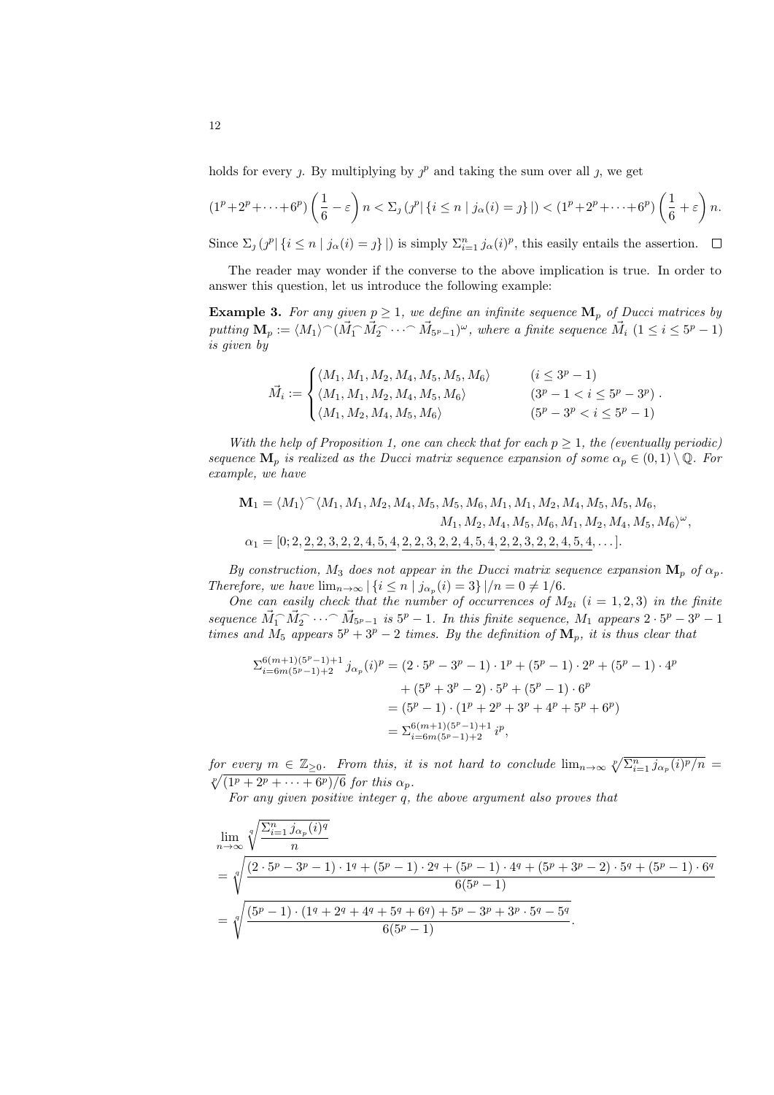holds for every j. By multiplying by  $j^p$  and taking the sum over all j, we get

$$
(1p+2p+\cdots+6p)\left(\frac{1}{6}-\varepsilon\right)n < \sum_j (j^p|\{i\leq n\mid j_\alpha(i)=j\}|) < (1p+2p+\cdots+6p)\left(\frac{1}{6}+\varepsilon\right)n.
$$

Since  $\Sigma_j (j^p | \{i \le n | j_\alpha(i) = j\}|)$  is simply  $\Sigma_{i=1}^n j_\alpha(i)^p$ , this easily entails the assertion.

The reader may wonder if the converse to the above implication is true. In order to answer this question, let us introduce the following example:

**Example 3.** For any given  $p \geq 1$ , we define an infinite sequence  $\mathbf{M}_p$  of Ducci matrices by putting  $\mathbf{M}_p := \langle M_1\rangle {}^\frown (\vec{M}_1 {}^\frown \vec{M}_2 {}^\frown \cdots {}^\frown \vec{M}_{5^p-1})^\omega$ , where a finite sequence  $\vec{M}_i$   $(1 \leq i \leq 5^p-1)$ is given by

$$
\vec{M}_i := \begin{cases}\n\langle M_1, M_1, M_2, M_4, M_5, M_6 \rangle & (i \le 3^p - 1) \\
\langle M_1, M_1, M_2, M_4, M_5, M_6 \rangle & (3^p - 1 < i \le 5^p - 3^p) \\
\langle M_1, M_2, M_4, M_5, M_6 \rangle & (5^p - 3^p < i \le 5^p - 1)\n\end{cases}
$$

With the help of Proposition 1, one can check that for each  $p \geq 1$ , the (eventually periodic) sequence  $\mathbf{M}_p$  is realized as the Ducci matrix sequence expansion of some  $\alpha_p \in (0,1) \setminus \mathbb{Q}$ . For example, we have

$$
\mathbf{M}_1 = \langle M_1 \rangle^{\frown} \langle M_1, M_1, M_2, M_4, M_5, M_5, M_6, M_1, M_1, M_2, M_4, M_5, M_5, M_6, M_1, M_2, M_4, M_5, M_6, M_1, M_2, M_4, M_5, M_6 \rangle^{\omega},
$$
  

$$
\alpha_1 = [0; 2, \underline{2}, \underline{2}, 3, 2, 2, 4, 5, 4, \underline{2}, 2, 3, 2, 2, 4, 5, 4, \underline{2}, 2, 3, 2, 2, 4, 5, 4, \dots].
$$

By construction,  $M_3$  does not appear in the Ducci matrix sequence expansion  $\mathbf{M}_p$  of  $\alpha_p$ . Therefore, we have  $\lim_{n\to\infty} |\{i \leq n \mid j_{\alpha_p}(i)=3\}|/n=0 \neq 1/6$ .

One can easily check that the number of occurrences of  $M_{2i}$   $(i = 1, 2, 3)$  in the finite sequence  $\vec{M}_1 \cdot \vec{M}_2 \cdot \cdot \cdot \cdot \vec{M}_{5^p-1}$  is  $5^p - 1$ . In this finite sequence,  $M_1$  appears  $2 \cdot 5^p - 3^p - 1$ times and  $M_5$  appears  $5^p + 3^p - 2$  times. By the definition of  $\mathbf{M}_p$ , it is thus clear that

$$
\Sigma_{i=6m(5^{p}-1)+2}^{6(m+1)(5^{p}-1)+1}j_{\alpha_{p}}(i)^{p} = (2 \cdot 5^{p} - 3^{p} - 1) \cdot 1^{p} + (5^{p} - 1) \cdot 2^{p} + (5^{p} - 1) \cdot 4^{p}
$$

$$
+ (5^{p} + 3^{p} - 2) \cdot 5^{p} + (5^{p} - 1) \cdot 6^{p}
$$

$$
= (5^{p} - 1) \cdot (1^{p} + 2^{p} + 3^{p} + 4^{p} + 5^{p} + 6^{p})
$$

$$
= \Sigma_{i=6m(5^{p}-1)+2}^{6(m+1)(5^{p}-1)+1}i^{p},
$$

for every  $m \in \mathbb{Z}_{\geq 0}$ . From this, it is not hard to conclude  $\lim_{n\to\infty} \sqrt[p]{\sum_{i=1}^n j_{\alpha_p}(i)^p/n} =$  $\sqrt[p]{(1^p + 2^p + \cdots + 6^p)/6}$  for this  $\alpha_p$ .

For any given positive integer q, the above argument also proves that

$$
\lim_{n \to \infty} \sqrt[4]{\frac{\sum_{i=1}^{n} j_{\alpha_p}(i)^q}{n}}
$$
\n
$$
= \sqrt[4]{\frac{(2 \cdot 5^p - 3^p - 1) \cdot 1^q + (5^p - 1) \cdot 2^q + (5^p - 1) \cdot 4^q + (5^p + 3^p - 2) \cdot 5^q + (5^p - 1) \cdot 6^q}{6(5^p - 1)}}
$$
\n
$$
= \sqrt[4]{\frac{(5^p - 1) \cdot (1^q + 2^q + 4^q + 5^q + 6^q) + 5^p - 3^p + 3^p \cdot 5^q - 5^q}{6(5^p - 1)}}.
$$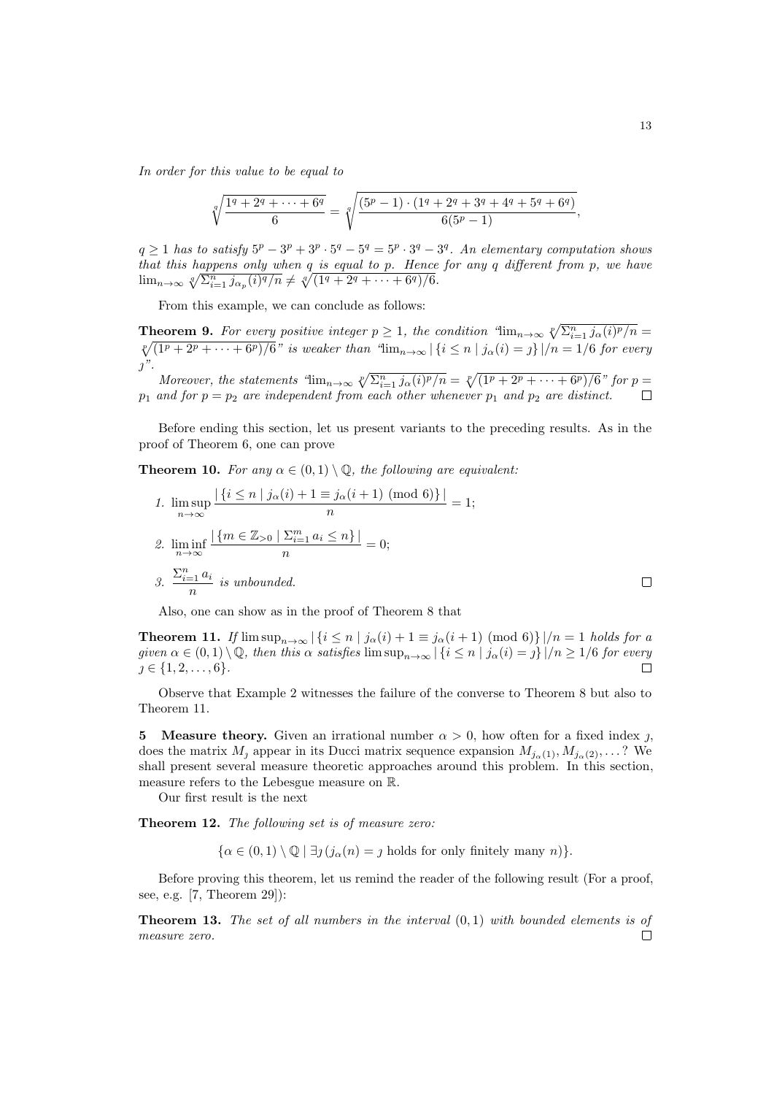In order for this value to be equal to

$$
\sqrt[q]{\frac{1^q + 2^q + \dots + 6^q}{6}} = \sqrt[q]{\frac{(5^p - 1) \cdot (1^q + 2^q + 3^q + 4^q + 5^q + 6^q)}{6(5^p - 1)}},
$$

 $q \geq 1$  has to satisfy  $5^p - 3^p + 3^p \cdot 5^q - 5^q = 5^p \cdot 3^q - 3^q$ . An elementary computation shows that this happens only when q is equal to p. Hence for any q different from p, we have  $\lim_{n\to\infty} \sqrt[q]{\sum_{i=1}^n j_{\alpha_p}(i)^q/n} \neq \sqrt[q]{(1^q + 2^q + \cdots + 6^q)/6}.$ 

From this example, we can conclude as follows:

**Theorem 9.** For every positive integer  $p \ge 1$ , the condition " $\lim_{n\to\infty} \sqrt[p]{\sum_{i=1}^n j_{\alpha}(i)^p/n}$  $\sqrt[p]{(1^p + 2^p + \cdots + 6^p)/6}$ " is weaker than " $\lim_{n\to\infty} |\{i \leq n \mid j_\alpha(i) = j\}|/n = 1/6$  for every  $\gamma$ ".

Moreover, the statements " $\lim_{n\to\infty} \sqrt[n]{\sum_{i=1}^n j_\alpha(i)^p/n} = \sqrt[p]{(\sqrt{1^p + 2^p + \cdots + 6^p})/6}$ " for  $p =$  $p_1$  and for  $p = p_2$  are independent from each other whenever  $p_1$  and  $p_2$  are distinct.  $\Box$ 

Before ending this section, let us present variants to the preceding results. As in the proof of Theorem 6, one can prove

**Theorem 10.** For any  $\alpha \in (0,1) \setminus \mathbb{Q}$ , the following are equivalent:

1. 
$$
\limsup_{n \to \infty} \frac{|\{i \le n \mid j_{\alpha}(i) + 1 \equiv j_{\alpha}(i+1) \pmod{6}\}|}{n} = 1;
$$
  
2. 
$$
\liminf_{n \to \infty} \frac{|\{m \in \mathbb{Z}_{>0} \mid \sum_{i=1}^{m} a_i \le n\}|}{n} = 0;
$$
  
3. 
$$
\frac{\sum_{i=1}^{n} a_i}{n}
$$
 is unbounded.

Also, one can show as in the proof of Theorem 8 that

**Theorem 11.** If  $\limsup_{n\to\infty} |\{i \leq n \mid j_\alpha(i) + 1 \equiv j_\alpha(i+1) \pmod{6}\}|/n = 1$  holds for a given  $\alpha \in (0,1) \setminus \mathbb{Q}$ , then this  $\alpha$  satisfies  $\limsup_{n\to\infty} |\{i \leq n \mid j_\alpha(i) = j\}|/n \geq 1/6$  for every  $j \in \{1, 2, \ldots, 6\}.$  $\Box$ 

Observe that Example 2 witnesses the failure of the converse to Theorem 8 but also to Theorem 11.

**5** Measure theory. Given an irrational number  $\alpha > 0$ , how often for a fixed index j, does the matrix  $M_j$  appear in its Ducci matrix sequence expansion  $M_{j_\alpha(1)}, M_{j_\alpha(2)}, \ldots$ ? We shall present several measure theoretic approaches around this problem. In this section, measure refers to the Lebesgue measure on R.

Our first result is the next

Theorem 12. The following set is of measure zero:

 $\{\alpha \in (0,1) \setminus \mathbb{Q} \mid \exists j (j_\alpha(n) = j \text{ holds for only finitely many } n)\}.$ 

Before proving this theorem, let us remind the reader of the following result (For a proof, see, e.g. [7, Theorem 29]):

**Theorem 13.** The set of all numbers in the interval  $(0, 1)$  with bounded elements is of measure zero. $\Box$ 

 $\Box$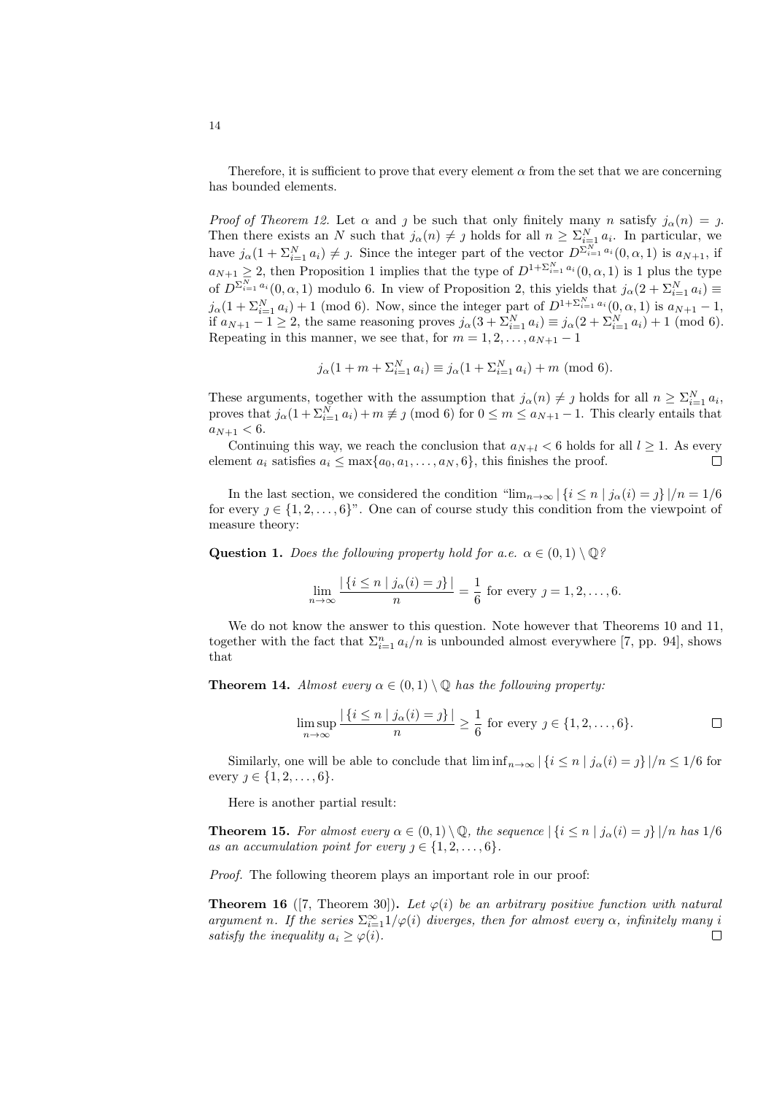Therefore, it is sufficient to prove that every element  $\alpha$  from the set that we are concerning has bounded elements.

Proof of Theorem 12. Let  $\alpha$  and  $\beta$  be such that only finitely many n satisfy  $j_{\alpha}(n) = \beta$ . Then there exists an N such that  $j_{\alpha}(n) \neq j$  holds for all  $n \geq \sum_{i=1}^{N} a_i$ . In particular, we have  $j_{\alpha}(1+\sum_{i=1}^N a_i) \neq j$ . Since the integer part of the vector  $D^{\sum_{i=1}^N a_i}(0,\alpha,1)$  is  $a_{N+1}$ , if  $a_{N+1} \geq 2$ , then Proposition 1 implies that the type of  $D^{1+\sum_{i=1}^{N} a_i}(0, \alpha, 1)$  is 1 plus the type of  $D^{\sum_{i=1}^{N} a_i}(0, \alpha, 1)$  modulo 6. In view of Proposition 2, this yields that  $j_\alpha(2 + \sum_{i=1}^{N} a_i) \equiv$  $j_{\alpha}(1+\sum_{i=1}^{N} a_i) + 1 \pmod{6}$ . Now, since the integer part of  $D^{1+\sum_{i=1}^{N} a_i}(0, \alpha, 1)$  is  $a_{N+1} - 1$ , if  $a_{N+1} - 1 \ge 2$ , the same reasoning proves  $j_{\alpha}(3 + \sum_{i=1}^{N} a_i) \equiv j_{\alpha}(2 + \sum_{i=1}^{N} a_i) + 1 \pmod{6}$ . Repeating in this manner, we see that, for  $m = 1, 2, \ldots, a_{N+1} - 1$ 

$$
j_{\alpha}(1 + m + \sum_{i=1}^{N} a_i) \equiv j_{\alpha}(1 + \sum_{i=1}^{N} a_i) + m \; (\text{mod } 6).
$$

These arguments, together with the assumption that  $j_{\alpha}(n) \neq j$  holds for all  $n \geq \sum_{i=1}^{N} a_i$ , proves that  $j_{\alpha}(1+\sum_{i=1}^{N} a_i) + m \not\equiv j \pmod{6}$  for  $0 \leq m \leq a_{N+1} - 1$ . This clearly entails that  $a_{N+1} < 6$ .

Continuing this way, we reach the conclusion that  $a_{N+l} < 6$  holds for all  $l \geq 1$ . As every element  $a_i$  satisfies  $a_i \leq \max\{a_0, a_1, \ldots, a_N, 6\}$ , this finishes the proof.  $\Box$ 

In the last section, we considered the condition " $\lim_{n\to\infty} |\{i \leq n \mid j_\alpha(i) = j\}|/n = 1/6$ for every  $j \in \{1, 2, \ldots, 6\}^n$ . One can of course study this condition from the viewpoint of measure theory:

**Question 1.** Does the following property hold for a.e.  $\alpha \in (0,1) \setminus \mathbb{Q}$ ?

$$
\lim_{n \to \infty} \frac{|\{i \le n \mid j_{\alpha}(i) = j\}|}{n} = \frac{1}{6}
$$
 for every  $j = 1, 2, ..., 6$ .

We do not know the answer to this question. Note however that Theorems 10 and 11, together with the fact that  $\Sigma_{i=1}^n a_i/n$  is unbounded almost everywhere [7, pp. 94], shows that

**Theorem 14.** Almost every  $\alpha \in (0,1) \setminus \mathbb{Q}$  has the following property:

$$
\limsup_{n \to \infty} \frac{|\{i \le n \mid j_\alpha(i) = j\}|}{n} \ge \frac{1}{6} \text{ for every } j \in \{1, 2, \dots, 6\}.
$$

Similarly, one will be able to conclude that  $\liminf_{n\to\infty}$   $|\{i \leq n \mid j_0(i) = j\}|/n \leq 1/6$  for every  $j \in \{1, 2, \ldots, 6\}.$ 

Here is another partial result:

**Theorem 15.** For almost every  $\alpha \in (0,1) \setminus \mathbb{Q}$ , the sequence  $|\{i \leq n \mid j_{\alpha}(i) = j\}|/n$  has  $1/6$ as an accumulation point for every  $j \in \{1, 2, \ldots, 6\}.$ 

Proof. The following theorem plays an important role in our proof:

**Theorem 16** ([7, Theorem 30]). Let  $\varphi(i)$  be an arbitrary positive function with natural argument n. If the series  $\sum_{i=1}^{\infty} 1/\varphi(i)$  diverges, then for almost every  $\alpha$ , infinitely many i satisfy the inequality  $a_i \geq \varphi(i)$ .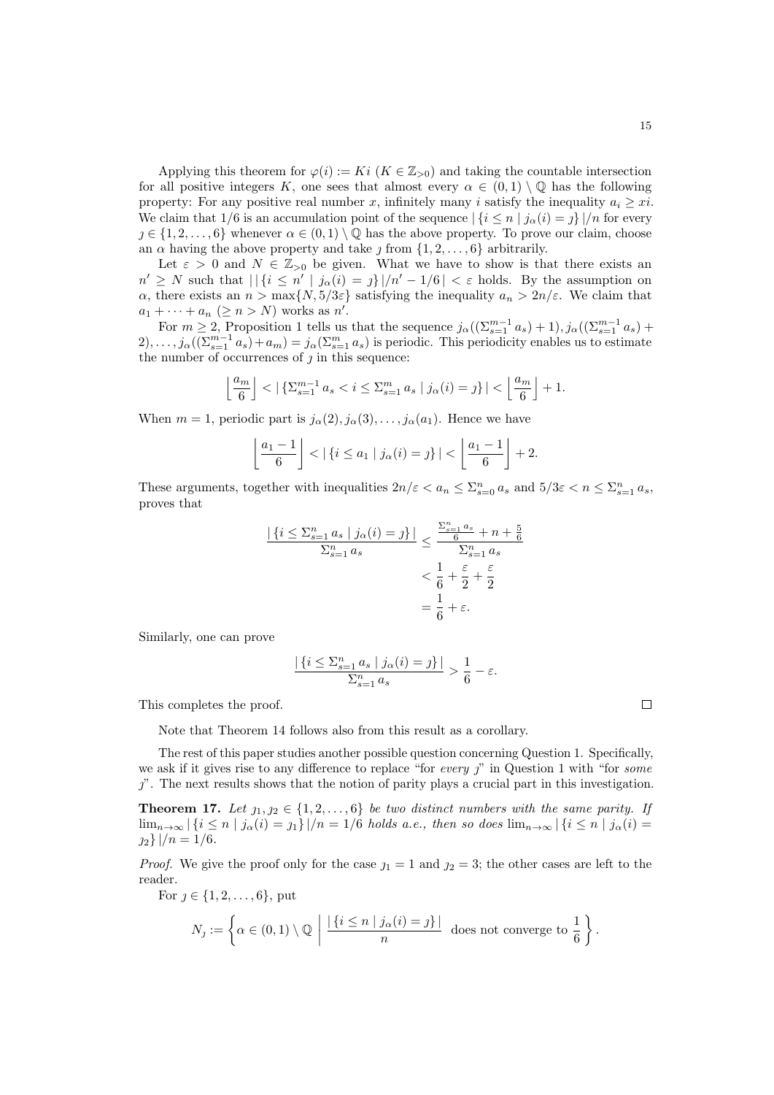Applying this theorem for  $\varphi(i) := Ki \ (K \in \mathbb{Z}_{>0})$  and taking the countable intersection for all positive integers K, one sees that almost every  $\alpha \in (0,1) \setminus \mathbb{Q}$  has the following property: For any positive real number x, infinitely many i satisfy the inequality  $a_i \geq x$ . We claim that 1/6 is an accumulation point of the sequence  $\left|\left\{i \leq n \mid j_\alpha(i) = j\right\}\right|/n$  for every  $j \in \{1, 2, \ldots, 6\}$  whenever  $\alpha \in (0, 1) \setminus \mathbb{Q}$  has the above property. To prove our claim, choose an  $\alpha$  having the above property and take  $j$  from  $\{1, 2, \ldots, 6\}$  arbitrarily.

Let  $\varepsilon > 0$  and  $N \in \mathbb{Z}_{>0}$  be given. What we have to show is that there exists an  $n' \geq N$  such that  $\left| \right| \{i \leq n' \mid j_\alpha(i) = j\} \right| / n' - 1/6 \left| \right| < \varepsilon$  holds. By the assumption on  $\alpha$ , there exists an  $n > \max\{N, 5/3\varepsilon\}$  satisfying the inequality  $a_n > 2n/\varepsilon$ . We claim that  $a_1 + \cdots + a_n \ (\geq n > N)$  works as  $n'$ .

For  $m \ge 2$ , Proposition 1 tells us that the sequence  $j_{\alpha}((\sum_{s=1}^{m-1} a_s) + 1), j_{\alpha}((\sum_{s=1}^{m-1} a_s) +$  $2), \ldots, j_\alpha((\sum_{s=1}^{m-1} a_s) + a_m) = j_\alpha(\sum_{s=1}^m a_s)$  is periodic. This periodicity enables us to estimate the number of occurrences of  $j$  in this sequence:

$$
\left\lfloor \frac{a_m}{6} \right\rfloor < \left\lfloor \left\{ \Sigma_{s=1}^{m-1} a_s < i \le \Sigma_{s=1}^m a_s \mid j_\alpha(i) = j \right\} \right\rfloor < \left\lfloor \frac{a_m}{6} \right\rfloor + 1.
$$

When  $m = 1$ , periodic part is  $j_{\alpha}(2), j_{\alpha}(3), \ldots, j_{\alpha}(a_1)$ . Hence we have

$$
\left\lfloor \frac{a_1-1}{6} \right\rfloor < |\{i \le a_1 \mid j_\alpha(i) = j\}| < \left\lfloor \frac{a_1-1}{6} \right\rfloor + 2.
$$

These arguments, together with inequalities  $2n/\varepsilon < a_n \leq \sum_{s=0}^n a_s$  and  $5/3\varepsilon < n \leq \sum_{s=1}^n a_s$ , proves that

$$
\frac{|\{i \le \sum_{s=1}^n a_s \mid j_\alpha(i) = j\}|}{\sum_{s=1}^n a_s} \le \frac{\frac{\sum_{s=1}^n a_s}{6} + n + \frac{5}{6}}{\sum_{s=1}^n a_s}
$$

$$
< \frac{1}{6} + \frac{\varepsilon}{2} + \frac{\varepsilon}{2}
$$

$$
= \frac{1}{6} + \varepsilon.
$$

Similarly, one can prove

$$
\frac{|\{i \le \sum_{s=1}^n a_s | j_\alpha(i) = j\}|}{\sum_{s=1}^n a_s} > \frac{1}{6} - \varepsilon.
$$

This completes the proof.

Note that Theorem 14 follows also from this result as a corollary.

The rest of this paper studies another possible question concerning Question 1. Specifically, we ask if it gives rise to any difference to replace "for every  $\eta$ " in Question 1 with "for some  $\gamma$ . The next results shows that the notion of parity plays a crucial part in this investigation.

**Theorem 17.** Let  $j_1, j_2 \in \{1, 2, ..., 6\}$  be two distinct numbers with the same parity. If  $\lim_{n\to\infty} |\{i \leq n \mid j_\alpha(i)=j_1\}|/n=1/6$  holds a.e., then so does  $\lim_{n\to\infty} |\{i \leq n \mid j_\alpha(i)=j_1\}|/n=1/6$  $n_2$ } |/ $n = 1/6$ .

*Proof.* We give the proof only for the case  $j_1 = 1$  and  $j_2 = 3$ ; the other cases are left to the reader.

For  $j \in \{1, 2, ..., 6\}$ , put

$$
N_j := \left\{ \alpha \in (0,1) \setminus \mathbb{Q} \mid \frac{|\{i \le n \mid j_\alpha(i) = j\}|}{n} \text{ does not converge to } \frac{1}{6} \right\}.
$$

 $\Box$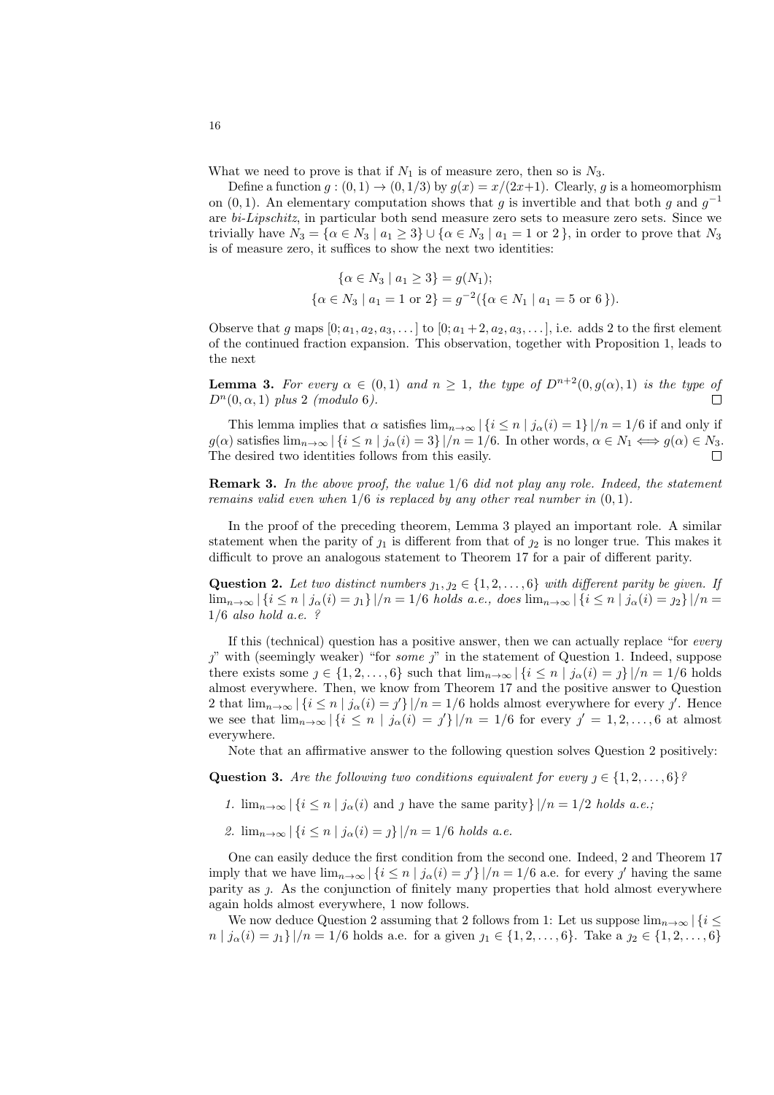What we need to prove is that if  $N_1$  is of measure zero, then so is  $N_3$ .

Define a function  $g: (0,1) \to (0,1/3)$  by  $g(x) = x/(2x+1)$ . Clearly, g is a homeomorphism on  $(0, 1)$ . An elementary computation shows that g is invertible and that both g and  $g^{-1}$ are bi-Lipschitz, in particular both send measure zero sets to measure zero sets. Since we trivially have  $N_3 = \{\alpha \in N_3 \mid a_1 \geq 3\} \cup \{\alpha \in N_3 \mid a_1 = 1 \text{ or } 2\}$ , in order to prove that  $N_3$ is of measure zero, it suffices to show the next two identities:

$$
\{\alpha \in N_3 \mid a_1 \ge 3\} = g(N_1);
$$
  

$$
\{\alpha \in N_3 \mid a_1 = 1 \text{ or } 2\} = g^{-2}(\{\alpha \in N_1 \mid a_1 = 5 \text{ or } 6\}).
$$

Observe that g maps  $[0; a_1, a_2, a_3, \ldots]$  to  $[0; a_1 + 2, a_2, a_3, \ldots]$ , i.e. adds 2 to the first element of the continued fraction expansion. This observation, together with Proposition 1, leads to the next

**Lemma 3.** For every  $\alpha \in (0,1)$  and  $n \geq 1$ , the type of  $D^{n+2}(0, g(\alpha), 1)$  is the type of  $D^n(0, \alpha, 1)$  plus 2 (modulo 6).  $\Box$ 

This lemma implies that  $\alpha$  satisfies  $\lim_{n\to\infty} |\{i \leq n \mid j_\alpha(i)=1\}|/n=1/6$  if and only if  $g(\alpha)$  satisfies  $\lim_{n\to\infty}$   $\left|\left\{i\leq n \mid j_\alpha(i)=3\right\}\right|/n=1/6$ . In other words,  $\alpha\in N_1 \Longleftrightarrow g(\alpha)\in N_3$ . The desired two identities follows from this easily.

**Remark 3.** In the above proof, the value  $1/6$  did not play any role. Indeed, the statement remains valid even when  $1/6$  is replaced by any other real number in  $(0, 1)$ .

In the proof of the preceding theorem, Lemma 3 played an important role. A similar statement when the parity of  $j_1$  is different from that of  $j_2$  is no longer true. This makes it difficult to prove an analogous statement to Theorem 17 for a pair of different parity.

Question 2. Let two distinct numbers  $j_1, j_2 \in \{1, 2, \ldots, 6\}$  with different parity be given. If  $\lim_{n\to\infty} |\{i \leq n \mid j_{\alpha}(i) = j_{1}\}|/n = 1/6$  holds a.e., does  $\lim_{n\to\infty} |\{i \leq n \mid j_{\alpha}(i) = j_{2}\}|/n =$  $1/6$  also hold a.e. ?

If this (technical) question has a positive answer, then we can actually replace "for every  $j'$  with (seemingly weaker) "for some  $j'$ " in the statement of Question 1. Indeed, suppose there exists some  $j \in \{1, 2, ..., 6\}$  such that  $\lim_{n\to\infty} |\{i \leq n \mid j_\alpha(i) = j\}|/n = 1/6$  holds almost everywhere. Then, we know from Theorem 17 and the positive answer to Question 2 that  $\lim_{n\to\infty} |\{i \leq n \mid j_\alpha(i) = j'\}|/n = 1/6$  holds almost everywhere for every j'. Hence we see that  $\lim_{n\to\infty} |\{i \leq n \mid j_{\alpha}(i) = j'\}|/n = 1/6$  for every  $j' = 1, 2, ..., 6$  at almost everywhere.

Note that an affirmative answer to the following question solves Question 2 positively:

Question 3. Are the following two conditions equivalent for every  $\eta \in \{1, 2, \ldots, 6\}$ ?

- 1.  $\lim_{n\to\infty} |\{i \leq n \mid j_\alpha(i) \text{ and } j \text{ have the same parity }\}|/n = 1/2 \text{ holds a.e.};$
- 2.  $\lim_{n\to\infty} |\{i \leq n \mid j_\alpha(i) = j\}|/n = 1/6$  holds a.e.

One can easily deduce the first condition from the second one. Indeed, 2 and Theorem 17 imply that we have  $\lim_{n\to\infty} |\{i\leq n \mid j_\alpha(i)=j'\}|/n=1/6$  a.e. for every j' having the same parity as j. As the conjunction of finitely many properties that hold almost everywhere again holds almost everywhere, 1 now follows.

We now deduce Question 2 assuming that 2 follows from 1: Let us suppose  $\lim_{n\to\infty} |\{i\leq$  $n | j_{\alpha}(i) = j_{1} \} | / n = 1/6$  holds a.e. for a given  $j_{1} \in \{1, 2, ..., 6\}$ . Take a  $j_{2} \in \{1, 2, ..., 6\}$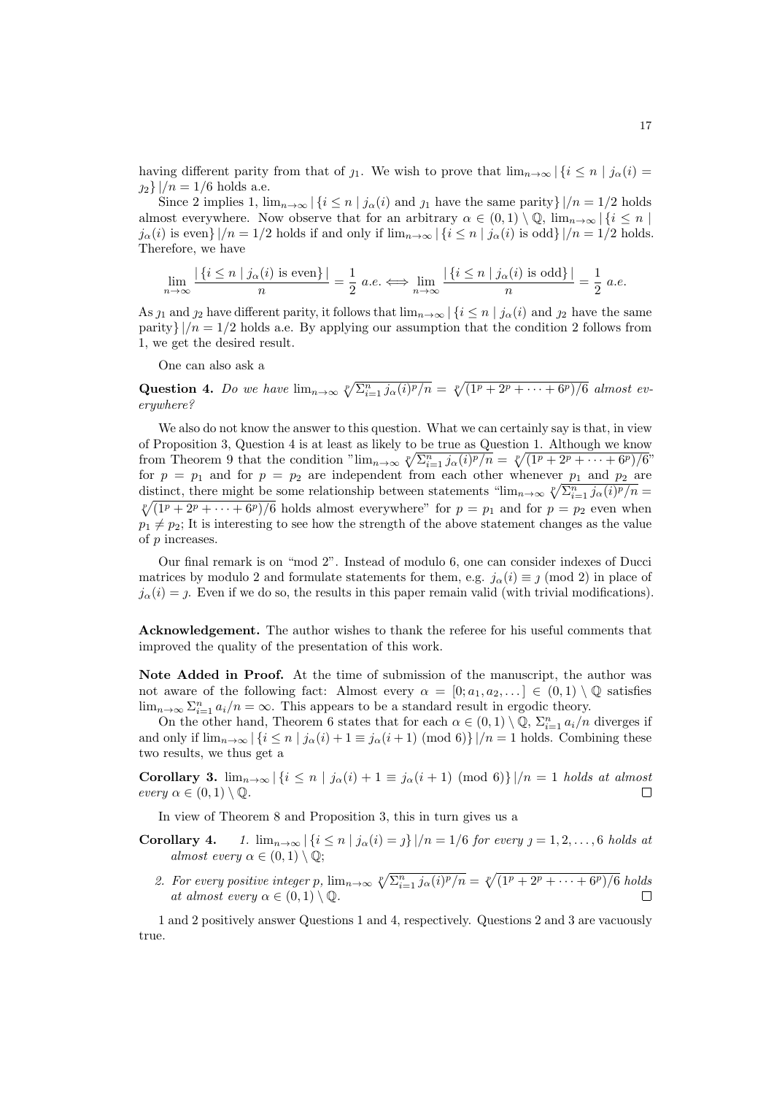having different parity from that of  $j_1$ . We wish to prove that  $\lim_{n\to\infty} |\{i \leq n \mid j_\alpha(i) =$  $2_2$ } |/n = 1/6 holds a.e.

Since 2 implies 1,  $\lim_{n\to\infty} |\{i \leq n \mid j_\alpha(i) \text{ and } j_1 \text{ have the same parity}\}|/n = 1/2 \text{ holds}$ almost everywhere. Now observe that for an arbitrary  $\alpha \in (0,1) \setminus \mathbb{Q}$ ,  $\lim_{n\to\infty} |\{i \le n\}|$  $j_{\alpha}(i)$  is even}  $|/n = 1/2$  holds if and only if  $\lim_{n\to\infty} |\{i \leq n \mid j_{\alpha}(i) \text{ is odd}\}|/n = 1/2$  holds. Therefore, we have

$$
\lim_{n \to \infty} \frac{|\{i \le n \mid j_\alpha(i) \text{ is even}\}|}{n} = \frac{1}{2} a.e. \iff \lim_{n \to \infty} \frac{|\{i \le n \mid j_\alpha(i) \text{ is odd}\}|}{n} = \frac{1}{2} a.e.
$$

As  $j_1$  and  $j_2$  have different parity, it follows that  $\lim_{n\to\infty} |\{i \leq n \mid j_\alpha(i) \text{ and } j_2 \}$  have the same parity}  $|/n = 1/2$  holds a.e. By applying our assumption that the condition 2 follows from 1, we get the desired result.

One can also ask a

Question 4. Do we have  $\lim_{n\to\infty} \sqrt[p]{\sum_{i=1}^n j_\alpha(i)^p/n} = \sqrt[p]{(\sqrt{1^p + 2^p + \cdots + 6^p})/6}$  almost everywhere?

We also do not know the answer to this question. What we can certainly say is that, in view of Proposition 3, Question 4 is at least as likely to be true as Question 1. Although we know from Theorem 9 that the condition " $\lim_{n\to\infty} \sqrt[n]{\sum_{i=1}^n j_\alpha(i)^p/n} = \sqrt[p]{(\sqrt{1^p + 2^p + \cdots + 6^p})/6}$ " for  $p = p_1$  and for  $p = p_2$  are independent from each other whenever  $p_1$  and  $p_2$  are distinct, there might be some relationship between statements " $\lim_{n\to\infty} \sqrt[p]{\sum_{i=1}^n j_\alpha(i)^p/n}$  $\sqrt[p]{(1^p + 2^p + \cdots + 6^p)/6}$  holds almost everywhere" for  $p = p_1$  and for  $p = p_2$  even when  $p_1 \neq p_2$ ; It is interesting to see how the strength of the above statement changes as the value of p increases.

Our final remark is on "mod 2". Instead of modulo 6, one can consider indexes of Ducci matrices by modulo 2 and formulate statements for them, e.g.  $j_{\alpha}(i) \equiv \gamma \pmod{2}$  in place of  $j_{\alpha}(i) = i$ . Even if we do so, the results in this paper remain valid (with trivial modifications).

Acknowledgement. The author wishes to thank the referee for his useful comments that improved the quality of the presentation of this work.

Note Added in Proof. At the time of submission of the manuscript, the author was not aware of the following fact: Almost every  $\alpha = [0; a_1, a_2, \ldots] \in (0,1) \setminus \mathbb{Q}$  satisfies  $\lim_{n\to\infty}\sum_{i=1}^n a_i/n = \infty$ . This appears to be a standard result in ergodic theory.

On the other hand, Theorem 6 states that for each  $\alpha \in (0,1) \setminus \mathbb{Q}$ ,  $\Sigma_{i=1}^n a_i/n$  diverges if and only if  $\lim_{n\to\infty}$   $\left|\left\{i\leq n \mid j_\alpha(i)+1\equiv j_\alpha(i+1) \pmod{6}\right\}\right|/n=1$  holds. Combining these two results, we thus get a

Corollary 3.  $\lim_{n\to\infty} |\{i \leq n \mid j_\alpha(i) + 1 \equiv j_\alpha(i+1) \pmod{6}\}|/n = 1$  holds at almost every  $\alpha \in (0,1) \setminus \mathbb{Q}$ .  $\Box$ 

In view of Theorem 8 and Proposition 3, this in turn gives us a

- **Corollary 4.** 1.  $\lim_{n\to\infty} |\{i \leq n \mid j_\alpha(i) = j\}|/n = 1/6$  for every  $j = 1, 2, ..., 6$  holds at almost every  $\alpha \in (0,1) \setminus \mathbb{Q}$ ;
	- 2. For every positive integer p,  $\lim_{n\to\infty} \sqrt[p]{\sum_{i=1}^n j_\alpha(i)^p/n} = \sqrt[p]{(\sqrt{1^p + 2^p + \cdots + 6^p})/6}$  holds at almost every  $\alpha \in (0,1) \setminus \mathbb{Q}$ .  $\Box$

1 and 2 positively answer Questions 1 and 4, respectively. Questions 2 and 3 are vacuously true.